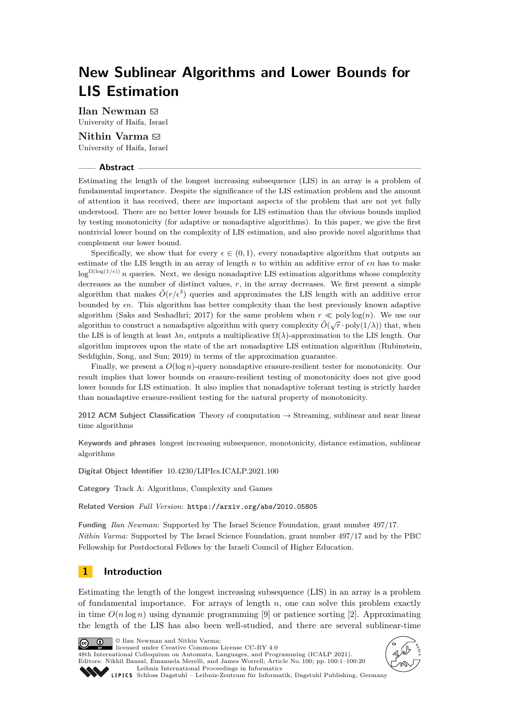# **New Sublinear Algorithms and Lower Bounds for LIS Estimation**

 $I$ lan Newman  $\boxtimes$ University of Haifa, Israel

**Nithin Varma** ⊠ University of Haifa, Israel

#### **Abstract**

Estimating the length of the longest increasing subsequence (LIS) in an array is a problem of fundamental importance. Despite the significance of the LIS estimation problem and the amount of attention it has received, there are important aspects of the problem that are not yet fully understood. There are no better lower bounds for LIS estimation than the obvious bounds implied by testing monotonicity (for adaptive or nonadaptive algorithms). In this paper, we give the first nontrivial lower bound on the complexity of LIS estimation, and also provide novel algorithms that complement our lower bound.

Specifically, we show that for every  $\epsilon \in (0,1)$ , every nonadaptive algorithm that outputs an estimate of the LIS length in an array of length *n* to within an additive error of *ϵn* has to make  $\log^{\Omega(\log(1/\epsilon))} n$  queries. Next, we design nonadaptive LIS estimation algorithms whose complexity decreases as the number of distinct values,  $r$ , in the array decreases. We first present a simple algorithm that makes  $\tilde{O}(r/\epsilon^3)$  queries and approximates the LIS length with an additive error bounded by *ϵn*. This algorithm has better complexity than the best previously known adaptive algorithm (Saks and Seshadhri; 2017) for the same problem when  $r \ll \text{poly}\log(n)$ . We use our algorithm to construct a nonadaptive algorithm with query complexity  $\tilde{O}(\sqrt{r} \cdot \text{poly}(1/\lambda))$  that, when the LIS is of length at least  $\lambda n$ , outputs a multiplicative  $\Omega(\lambda)$ -approximation to the LIS length. Our algorithm improves upon the state of the art nonadaptive LIS estimation algorithm (Rubinstein, Seddighin, Song, and Sun; 2019) in terms of the approximation guarantee.

Finally, we present a *O*(log *n*)-query nonadaptive erasure-resilient tester for monotonicity. Our result implies that lower bounds on erasure-resilient testing of monotonicity does not give good lower bounds for LIS estimation. It also implies that nonadaptive tolerant testing is strictly harder than nonadaptive erasure-resilient testing for the natural property of monotonicity.

**2012 ACM Subject Classification** Theory of computation → Streaming, sublinear and near linear time algorithms

**Keywords and phrases** longest increasing subsequence, monotonicity, distance estimation, sublinear algorithms

**Digital Object Identifier** [10.4230/LIPIcs.ICALP.2021.100](https://doi.org/10.4230/LIPIcs.ICALP.2021.100)

**Category** Track A: Algorithms, Complexity and Games

**Related Version** *Full Version*: <https://arxiv.org/abs/2010.05805>

**Funding** *Ilan Newman*: Supported by The Israel Science Foundation, grant number 497/17. *Nithin Varma*: Supported by The Israel Science Foundation, grant number 497/17 and by the PBC Fellowship for Postdoctoral Fellows by the Israeli Council of Higher Education.

# **1 Introduction**

Estimating the length of the longest increasing subsequence (LIS) in an array is a problem of fundamental importance. For arrays of length *n*, one can solve this problem exactly in time  $O(n \log n)$  using dynamic programming [\[9\]](#page-19-0) or patience sorting [\[2\]](#page-19-1). Approximating the length of the LIS has also been well-studied, and there are several sublinear-time

© Ilan Newman and Nithin Varma;  $\boxed{6}$  0 licensed under Creative Commons License CC-BY 4.0 48th International Colloquium on Automata, Languages, and Programming (ICALP 2021). Editors: Nikhil Bansal, Emanuela Merelli, and James Worrell; Article No. 100; pp. 100:1–100:20



[Leibniz International Proceedings in Informatics](https://www.dagstuhl.de/lipics/) SCHLOSS Dagstuhl – Leibniz-Zentrum für Informatik, Dagstuhl Publishing, Germany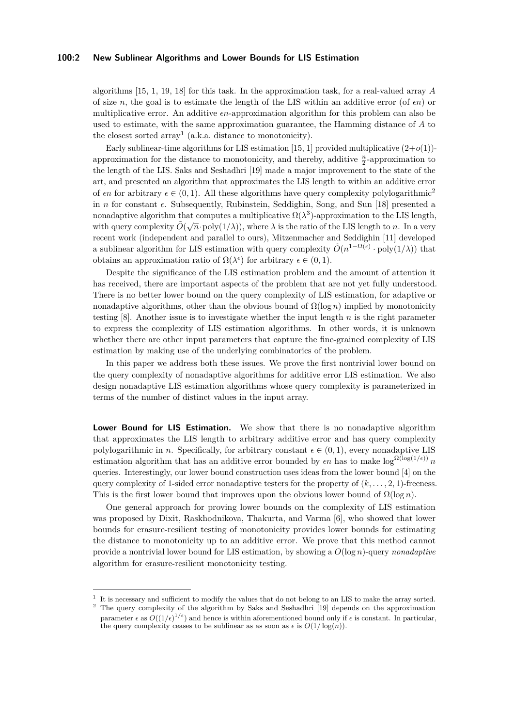#### **100:2 New Sublinear Algorithms and Lower Bounds for LIS Estimation**

algorithms [\[15,](#page-19-2) [1,](#page-19-3) [19,](#page-19-4) [18\]](#page-19-5) for this task. In the approximation task, for a real-valued array *A* of size *n*, the goal is to estimate the length of the LIS within an additive error (of  $\epsilon n$ ) or multiplicative error. An additive *ϵn*-approximation algorithm for this problem can also be used to estimate, with the same approximation guarantee, the Hamming distance of *A* to the closest sorted  $\arctan^1$  $\arctan^1$  (a.k.a. distance to monotonicity).

Early sublinear-time algorithms for LIS estimation [\[15,](#page-19-2) [1\]](#page-19-3) provided multiplicative  $(2+o(1))$ approximation for the distance to monotonicity, and thereby, additive  $\frac{n}{2}$ -approximation to the length of the LIS. Saks and Seshadhri [\[19\]](#page-19-4) made a major improvement to the state of the art, and presented an algorithm that approximates the LIS length to within an additive error of  $\epsilon n$  for arbitrary  $\epsilon \in (0,1)$ . All these algorithms have query complexity polylogarithmic<sup>[2](#page-1-1)</sup> in *n* for constant *ϵ*. Subsequently, Rubinstein, Seddighin, Song, and Sun [\[18\]](#page-19-5) presented a nonadaptive algorithm that computes a multiplicative  $\Omega(\lambda^3)$ -approximation to the LIS length, with query complexity  $\tilde{O}(\sqrt{n} \cdot \text{poly}(1/\lambda))$ , where  $\lambda$  is the ratio of the LIS length to *n*. In a very recent work (independent and parallel to ours), Mitzenmacher and Seddighin [\[11\]](#page-19-6) developed a sublinear algorithm for LIS estimation with query complexity  $\tilde{O}(n^{1-\Omega(\epsilon)} \cdot \text{poly}(1/\lambda))$  that obtains an approximation ratio of  $\Omega(\lambda^{\epsilon})$  for arbitrary  $\epsilon \in (0,1)$ .

Despite the significance of the LIS estimation problem and the amount of attention it has received, there are important aspects of the problem that are not yet fully understood. There is no better lower bound on the query complexity of LIS estimation, for adaptive or nonadaptive algorithms, other than the obvious bound of  $\Omega(\log n)$  implied by monotonicity testing [\[8\]](#page-19-7). Another issue is to investigate whether the input length *n* is the right parameter to express the complexity of LIS estimation algorithms. In other words, it is unknown whether there are other input parameters that capture the fine-grained complexity of LIS estimation by making use of the underlying combinatorics of the problem.

In this paper we address both these issues. We prove the first nontrivial lower bound on the query complexity of nonadaptive algorithms for additive error LIS estimation. We also design nonadaptive LIS estimation algorithms whose query complexity is parameterized in terms of the number of distinct values in the input array.

**Lower Bound for LIS Estimation.** We show that there is no nonadaptive algorithm that approximates the LIS length to arbitrary additive error and has query complexity polylogarithmic in *n*. Specifically, for arbitrary constant  $\epsilon \in (0, 1)$ , every nonadaptive LIS estimation algorithm that has an additive error bounded by  $\epsilon n$  has to make  $\log^{\Omega(\log(1/\epsilon))} n$ queries. Interestingly, our lower bound construction uses ideas from the lower bound [\[4\]](#page-19-8) on the query complexity of 1-sided error nonadaptive testers for the property of  $(k, \ldots, 2, 1)$ -freeness. This is the first lower bound that improves upon the obvious lower bound of  $\Omega(\log n)$ .

One general approach for proving lower bounds on the complexity of LIS estimation was proposed by Dixit, Raskhodnikova, Thakurta, and Varma [\[6\]](#page-19-9), who showed that lower bounds for erasure-resilient testing of monotonicity provides lower bounds for estimating the distance to monotonicity up to an additive error. We prove that this method cannot provide a nontrivial lower bound for LIS estimation, by showing a *O*(log *n*)-query *nonadaptive* algorithm for erasure-resilient monotonicity testing.

<span id="page-1-0"></span><sup>1</sup> It is necessary and sufficient to modify the values that do not belong to an LIS to make the array sorted.

<span id="page-1-1"></span><sup>&</sup>lt;sup>2</sup> The query complexity of the algorithm by Saks and Seshadhri [\[19\]](#page-19-4) depends on the approximation parameter  $\epsilon$  as  $O((1/\epsilon)^{1/\epsilon})$  and hence is within aforementioned bound only if  $\epsilon$  is constant. In particular, the query complexity ceases to be sublinear as as soon as  $\epsilon$  is  $O(1/\log(n))$ .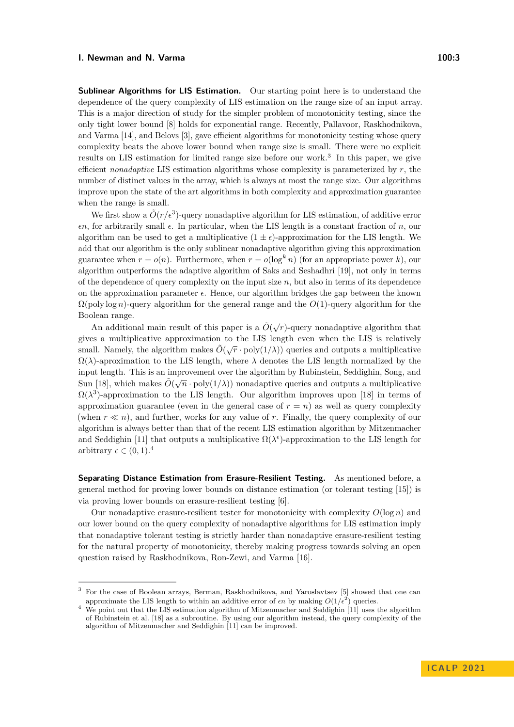**Sublinear Algorithms for LIS Estimation.** Our starting point here is to understand the dependence of the query complexity of LIS estimation on the range size of an input array. This is a major direction of study for the simpler problem of monotonicity testing, since the only tight lower bound [\[8\]](#page-19-7) holds for exponential range. Recently, Pallavoor, Raskhodnikova, and Varma [\[14\]](#page-19-10), and Belovs [\[3\]](#page-19-11), gave efficient algorithms for monotonicity testing whose query complexity beats the above lower bound when range size is small. There were no explicit results on LIS estimation for limited range size before our work.<sup>[3](#page-2-0)</sup> In this paper, we give efficient *nonadaptive* LIS estimation algorithms whose complexity is parameterized by *r*, the number of distinct values in the array, which is always at most the range size. Our algorithms

when the range is small. We first show a  $\tilde{O}(r/\epsilon^3)$ -query nonadaptive algorithm for LIS estimation, of additive error *ϵn*, for arbitrarily small *ϵ*. In particular, when the LIS length is a constant fraction of *n*, our algorithm can be used to get a multiplicative  $(1 \pm \epsilon)$ -approximation for the LIS length. We add that our algorithm is the only sublinear nonadaptive algorithm giving this approximation guarantee when  $r = o(n)$ . Furthermore, when  $r = o(\log^k n)$  (for an appropriate power k), our algorithm outperforms the adaptive algorithm of Saks and Seshadhri [\[19\]](#page-19-4), not only in terms of the dependence of query complexity on the input size *n*, but also in terms of its dependence on the approximation parameter *ϵ*. Hence, our algorithm bridges the gap between the known Ω(poly log *n*)-query algorithm for the general range and the *O*(1)-query algorithm for the Boolean range.

improve upon the state of the art algorithms in both complexity and approximation guarantee

An additional main result of this paper is a  $\tilde{O}(\sqrt{r})$ -query nonadaptive algorithm that gives a multiplicative approximation to the LIS length even when the LIS is relatively small. Namely, the algorithm makes  $\tilde{O}(\sqrt{r} \cdot \text{poly}(1/\lambda))$  queries and outputs a multiplicative  $\Omega(\lambda)$ -aproximation to the LIS length, where  $\lambda$  denotes the LIS length normalized by the input length. This is an improvement over the algorithm by Rubinstein, Seddighin, Song, and  $\tilde{\phi}(\bar{\zeta} - 1/(\bar{\zeta} \wedge \bar{\zeta}))$ Sun [\[18\]](#page-19-5), which makes  $\tilde{O}(\sqrt{n} \cdot \text{poly}(1/\lambda))$  nonadaptive queries and outputs a multiplicative  $\Omega(\lambda^3)$ -approximation to the LIS length. Our algorithm improves upon [\[18\]](#page-19-5) in terms of approximation guarantee (even in the general case of  $r = n$ ) as well as query complexity (when *r* ≪ *n*), and further, works for any value of *r*. Finally, the query complexity of our algorithm is always better than that of the recent LIS estimation algorithm by Mitzenmacher and Seddighin [\[11\]](#page-19-6) that outputs a multiplicative  $\Omega(\lambda^{\epsilon})$ -approximation to the LIS length for arbitrary  $\epsilon \in (0,1).^4$  $\epsilon \in (0,1).^4$ 

**Separating Distance Estimation from Erasure-Resilient Testing.** As mentioned before, a general method for proving lower bounds on distance estimation (or tolerant testing [\[15\]](#page-19-2)) is via proving lower bounds on erasure-resilient testing [\[6\]](#page-19-9).

Our nonadaptive erasure-resilient tester for monotonicity with complexity *O*(log *n*) and our lower bound on the query complexity of nonadaptive algorithms for LIS estimation imply that nonadaptive tolerant testing is strictly harder than nonadaptive erasure-resilient testing for the natural property of monotonicity, thereby making progress towards solving an open question raised by Raskhodnikova, Ron-Zewi, and Varma [\[16\]](#page-19-12).

<span id="page-2-0"></span><sup>3</sup> For the case of Boolean arrays, Berman, Raskhodnikova, and Yaroslavtsev [\[5\]](#page-19-13) showed that one can approximate the LIS length to within an additive error of  $\epsilon n$  by making  $O(1/\epsilon^2)$  queries.

<span id="page-2-1"></span><sup>&</sup>lt;sup>4</sup> We point out that the LIS estimation algorithm of Mitzenmacher and Seddighin [\[11\]](#page-19-6) uses the algorithm of Rubinstein et al. [\[18\]](#page-19-5) as a subroutine. By using our algorithm instead, the query complexity of the algorithm of Mitzenmacher and Seddighin [\[11\]](#page-19-6) can be improved.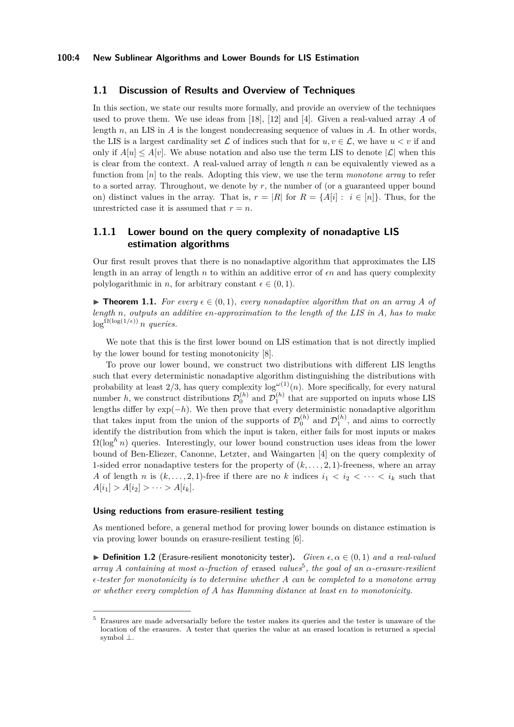#### **1.1 Discussion of Results and Overview of Techniques**

In this section, we state our results more formally, and provide an overview of the techniques used to prove them. We use ideas from [\[18\]](#page-19-5), [\[12\]](#page-19-14) and [\[4\]](#page-19-8). Given a real-valued array *A* of length *n*, an LIS in *A* is the longest nondecreasing sequence of values in *A*. In other words, the LIS is a largest cardinality set  $\mathcal L$  of indices such that for  $u, v \in \mathcal L$ , we have  $u < v$  if and only if  $A[u] \leq A[v]$ . We abuse notation and also use the term LIS to denote  $|\mathcal{L}|$  when this is clear from the context. A real-valued array of length *n* can be equivalently viewed as a function from [*n*] to the reals. Adopting this view, we use the term *monotone array* to refer to a sorted array. Throughout, we denote by *r*, the number of (or a guaranteed upper bound on) distinct values in the array. That is,  $r = |R|$  for  $R = \{A[i] : i \in [n]\}\$ . Thus, for the unrestricted case it is assumed that  $r = n$ .

## **1.1.1 Lower bound on the query complexity of nonadaptive LIS estimation algorithms**

Our first result proves that there is no nonadaptive algorithm that approximates the LIS length in an array of length *n* to within an additive error of *ϵn* and has query complexity polylogarithmic in *n*, for arbitrary constant  $\epsilon \in (0, 1)$ .

<span id="page-3-1"></span>▶ **Theorem 1.1.** For every  $\epsilon \in (0,1)$ , every nonadaptive algorithm that on an array A of *length n, outputs an additive ϵn-approximation to the length of the LIS in A, has to make*  $\log^{\Omega(\log(1/\epsilon))} n$  *queries.* 

We note that this is the first lower bound on LIS estimation that is not directly implied by the lower bound for testing monotonicity [\[8\]](#page-19-7).

To prove our lower bound, we construct two distributions with different LIS lengths such that every deterministic nonadaptive algorithm distinguishing the distributions with probability at least  $2/3$ , has query complexity  $\log^{(\omega(1)}(n)$ . More specifically, for every natural number *h*, we construct distributions  $\mathcal{D}_0^{(h)}$  and  $\mathcal{D}_1^{(h)}$  that are supported on inputs whose LIS lengths differ by  $exp(-h)$ . We then prove that every deterministic nonadaptive algorithm that takes input from the union of the supports of  $\mathcal{D}_0^{(h)}$  and  $\mathcal{D}_1^{(h)}$ , and aims to correctly identify the distribution from which the input is taken, either fails for most inputs or makes  $\Omega(\log^h n)$  queries. Interestingly, our lower bound construction uses ideas from the lower bound of Ben-Eliezer, Canonne, Letzter, and Waingarten [\[4\]](#page-19-8) on the query complexity of 1-sided error nonadaptive testers for the property of  $(k, \ldots, 2, 1)$ -freeness, where an array *A* of length *n* is  $(k, \ldots, 2, 1)$ -free if there are no *k* indices  $i_1 < i_2 < \cdots < i_k$  such that  $A[i_1] > A[i_2] > \cdots > A[i_k].$ 

#### **Using reductions from erasure-resilient testing**

As mentioned before, a general method for proving lower bounds on distance estimation is via proving lower bounds on erasure-resilient testing [\[6\]](#page-19-9).

▶ **Definition 1.2** (Erasure-resilient monotonicity tester). *Given*  $\epsilon, \alpha \in (0,1)$  *and a real-valued*  $array A$  *containing at most*  $\alpha$ -fraction of erased *values*<sup>[5](#page-3-0)</sup>, the goal of an  $\alpha$ -erasure-resilient *ϵ-tester for monotonicity is to determine whether A can be completed to a monotone array or whether every completion of A has Hamming distance at least ϵn to monotonicity.*

<span id="page-3-0"></span><sup>5</sup> Erasures are made adversarially before the tester makes its queries and the tester is unaware of the location of the erasures. A tester that queries the value at an erased location is returned a special symbol ⊥.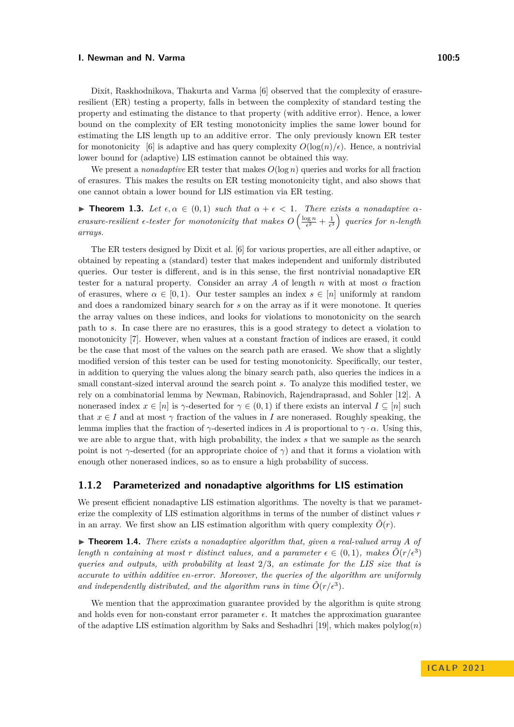Dixit, Raskhodnikova, Thakurta and Varma [\[6\]](#page-19-9) observed that the complexity of erasureresilient (ER) testing a property, falls in between the complexity of standard testing the property and estimating the distance to that property (with additive error). Hence, a lower bound on the complexity of ER testing monotonicity implies the same lower bound for estimating the LIS length up to an additive error. The only previously known ER tester for monotonicity [\[6\]](#page-19-9) is adaptive and has query complexity  $O(\log(n)/\epsilon)$ . Hence, a nontrivial lower bound for (adaptive) LIS estimation cannot be obtained this way.

We present a *nonadaptive* ER tester that makes  $O(\log n)$  queries and works for all fraction of erasures. This makes the results on ER testing monotonicity tight, and also shows that one cannot obtain a lower bound for LIS estimation via ER testing.

<span id="page-4-1"></span> $\blacktriangleright$  **Theorem 1.3.** Let  $\epsilon, \alpha \in (0,1)$  such that  $\alpha + \epsilon < 1$ . There exists a nonadaptive  $\alpha$ *erasure-resilient*  $\epsilon$ -tester for monotonicity that makes  $O\left(\frac{\log n}{\epsilon^2} + \frac{1}{\epsilon^3}\right)$  queries for n-length *arrays.*

The ER testers designed by Dixit et al. [\[6\]](#page-19-9) for various properties, are all either adaptive, or obtained by repeating a (standard) tester that makes independent and uniformly distributed queries. Our tester is different, and is in this sense, the first nontrivial nonadaptive ER tester for a natural property. Consider an array *A* of length *n* with at most *α* fraction of erasures, where  $\alpha \in [0, 1)$ . Our tester samples an index  $s \in [n]$  uniformly at random and does a randomized binary search for *s* on the array as if it were monotone. It queries the array values on these indices, and looks for violations to monotonicity on the search path to *s*. In case there are no erasures, this is a good strategy to detect a violation to monotonicity [\[7\]](#page-19-15). However, when values at a constant fraction of indices are erased, it could be the case that most of the values on the search path are erased. We show that a slightly modified version of this tester can be used for testing monotonicity. Specifically, our tester, in addition to querying the values along the binary search path, also queries the indices in a small constant-sized interval around the search point *s*. To analyze this modified tester, we rely on a combinatorial lemma by Newman, Rabinovich, Rajendraprasad, and Sohler [\[12\]](#page-19-14). A nonerased index  $x \in [n]$  is  $\gamma$ -deserted for  $\gamma \in (0,1)$  if there exists an interval  $I \subseteq [n]$  such that  $x \in I$  and at most  $\gamma$  fraction of the values in *I* are nonerased. Roughly speaking, the lemma implies that the fraction of  $\gamma$ -deserted indices in *A* is proportional to  $\gamma \cdot \alpha$ . Using this, we are able to argue that, with high probability, the index *s* that we sample as the search point is not *γ*-deserted (for an appropriate choice of *γ*) and that it forms a violation with enough other nonerased indices, so as to ensure a high probability of success.

#### **1.1.2 Parameterized and nonadaptive algorithms for LIS estimation**

We present efficient nonadaptive LIS estimation algorithms. The novelty is that we parameterize the complexity of LIS estimation algorithms in terms of the number of distinct values *r* in an array. We first show an LIS estimation algorithm with query complexity  $\tilde{O}(r)$ .

<span id="page-4-0"></span> $\triangleright$  **Theorem 1.4.** *There exists a nonadaptive algorithm that, given a real-valued array A of length n containing* at most *r* distinct values, and a parameter  $\epsilon \in (0,1)$ , makes  $\tilde{O}(r/\epsilon^3)$ *queries and outputs, with probability at least* 2*/*3*, an estimate for the LIS size that is accurate to within additive ϵn-error. Moreover, the queries of the algorithm are uniformly* and independently distributed, and the algorithm runs in time  $\tilde{O}(r/\epsilon^3)$ .

We mention that the approximation guarantee provided by the algorithm is quite strong and holds even for non-constant error parameter  $\epsilon$ . It matches the approximation guarantee of the adaptive LIS estimation algorithm by Saks and Seshadhri [\[19\]](#page-19-4), which makes  $\text{polylog}(n)$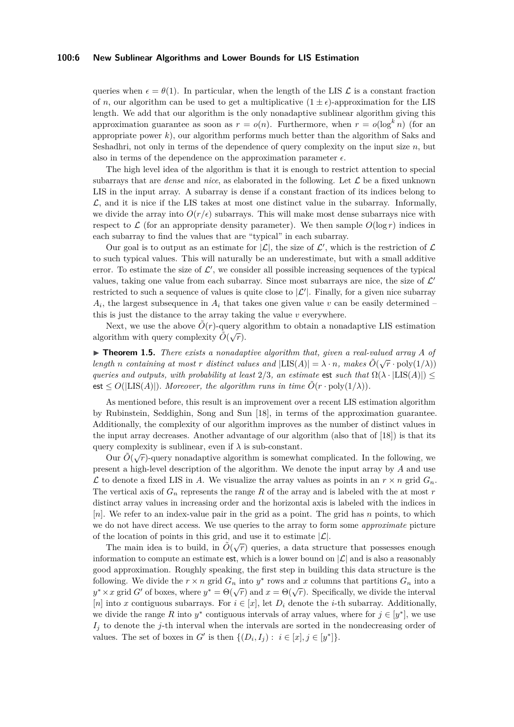#### **100:6 New Sublinear Algorithms and Lower Bounds for LIS Estimation**

queries when  $\epsilon = \theta(1)$ . In particular, when the length of the LIS  $\mathcal L$  is a constant fraction of *n*, our algorithm can be used to get a multiplicative  $(1 \pm \epsilon)$ -approximation for the LIS length. We add that our algorithm is the only nonadaptive sublinear algorithm giving this approximation guarantee as soon as  $r = o(n)$ . Furthermore, when  $r = o(\log^k n)$  (for an appropriate power *k*), our algorithm performs much better than the algorithm of Saks and Seshadhri, not only in terms of the dependence of query complexity on the input size *n*, but also in terms of the dependence on the approximation parameter  $\epsilon$ .

The high level idea of the algorithm is that it is enough to restrict attention to special subarrays that are *dense* and *nice*, as elaborated in the following. Let  $\mathcal{L}$  be a fixed unknown LIS in the input array. A subarray is dense if a constant fraction of its indices belong to  $\mathcal{L}$ , and it is nice if the LIS takes at most one distinct value in the subarray. Informally, we divide the array into  $O(r/\epsilon)$  subarrays. This will make most dense subarrays nice with respect to  $\mathcal L$  (for an appropriate density parameter). We then sample  $O(\log r)$  indices in each subarray to find the values that are "typical" in each subarray.

Our goal is to output as an estimate for  $|\mathcal{L}|$ , the size of  $\mathcal{L}'$ , which is the restriction of  $\mathcal{L}$ to such typical values. This will naturally be an underestimate, but with a small additive error. To estimate the size of  $\mathcal{L}'$ , we consider all possible increasing sequences of the typical values, taking one value from each subarray. Since most subarrays are nice, the size of  $\mathcal{L}'$ restricted to such a sequence of values is quite close to  $|\mathcal{L}'|$ . Finally, for a given nice subarray  $A_i$ , the largest subsequence in  $A_i$  that takes one given value  $v$  can be easily determined – this is just the distance to the array taking the value *v* everywhere.

Next, we use the above  $\tilde{O}(r)$ -query algorithm to obtain a nonadaptive LIS estimation algorithm with query complexity  $\tilde{O}(\sqrt{r})$ .

<span id="page-5-0"></span> $\triangleright$  **Theorem 1.5.** *There exists a nonadaptive algorithm that, given a real-valued array A of length n containing at most r distinct values and*  $|LIS(A)| = \lambda \cdot n$ *, makes*  $\tilde{O}(\sqrt{r} \cdot \text{poly}(1/\lambda))$ *queries and outputs, with probability at least*  $2/3$ *, an estimate* est *such that*  $\Omega(\lambda \cdot |LIS(A)|)$ est  $\leq O(|\text{LIS}(A)|)$ *. Moreover, the algorithm runs in time*  $\tilde{O}(r \cdot \text{poly}(1/\lambda))$ *.* 

As mentioned before, this result is an improvement over a recent LIS estimation algorithm by Rubinstein, Seddighin, Song and Sun [\[18\]](#page-19-5), in terms of the approximation guarantee. Additionally, the complexity of our algorithm improves as the number of distinct values in the input array decreases. Another advantage of our algorithm (also that of [\[18\]](#page-19-5)) is that its query complexity is sublinear, even if *λ* is sub-constant. √

Our  $\tilde{O}(\sqrt{r})$ -query nonadaptive algorithm is somewhat complicated. In the following, we present a high-level description of the algorithm. We denote the input array by *A* and use L to denote a fixed LIS in A. We visualize the array values as points in an  $r \times n$  grid  $G_n$ . The vertical axis of  $G_n$  represents the range  $R$  of the array and is labeled with the at most  $r$ distinct array values in increasing order and the horizontal axis is labeled with the indices in [*n*]. We refer to an index-value pair in the grid as a point. The grid has *n* points, to which we do not have direct access. We use queries to the array to form some *approximate* picture of the location of points in this grid, and use it to estimate  $|\mathcal{L}|$ .

The main idea is to build, in  $\tilde{O}(\sqrt{r})$  queries, a data structure that possesses enough information to compute an estimate est, which is a lower bound on  $|\mathcal{L}|$  and is also a reasonably good approximation. Roughly speaking, the first step in building this data structure is the following. We divide the  $r \times n$  grid  $G_n$  into  $y^*$  rows and  $x$  columns that partitions  $G_n$  into a *y*<sup>\*</sup> × *x* grid *G*′ of boxes, where  $y^* = \Theta(\sqrt{r})$  and  $x = \Theta(\sqrt{r})$ . Specifically, we divide the interval [*n*] into *x* contiguous subarrays. For  $i \in [x]$ , let  $D_i$  denote the *i*-th subarray. Additionally, we divide the range R into  $y^*$  contiguous intervals of array values, where for  $j \in [y^*]$ , we use *I<sup>j</sup>* to denote the *j*-th interval when the intervals are sorted in the nondecreasing order of values. The set of boxes in *G*<sup> $\prime$ </sup> is then  $\{(D_i, I_j) : i \in [x], j \in [y^*]\}.$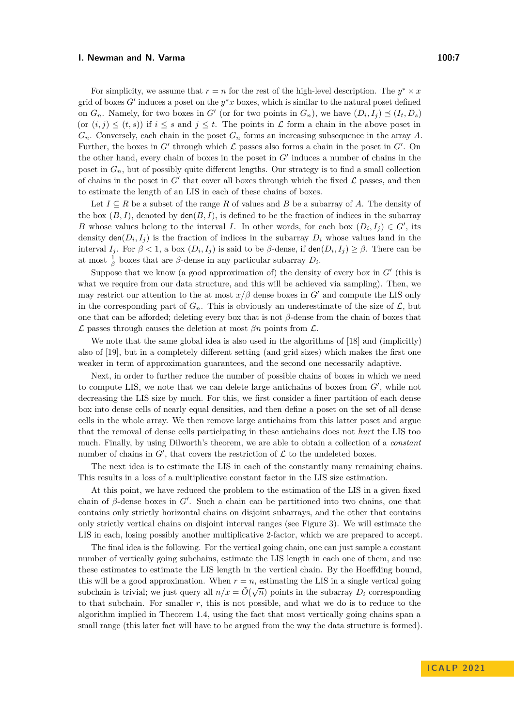For simplicity, we assume that  $r = n$  for the rest of the high-level description. The  $y^* \times x$ grid of boxes G' induces a poset on the  $y^*x$  boxes, which is similar to the natural poset defined on  $G_n$ . Namely, for two boxes in  $G'$  (or for two points in  $G_n$ ), we have  $(D_i, I_j) \preceq (I_t, D_s)$ (or  $(i, j) \leq (t, s)$ ) if  $i \leq s$  and  $j \leq t$ . The points in  $\mathcal L$  form a chain in the above poset in *Gn*. Conversely, each chain in the poset *G<sup>n</sup>* forms an increasing subsequence in the array *A*. Further, the boxes in  $G'$  through which  $\mathcal L$  passes also forms a chain in the poset in  $G'$ . On the other hand, every chain of boxes in the poset in *G*′ induces a number of chains in the poset in  $G_n$ , but of possibly quite different lengths. Our strategy is to find a small collection of chains in the poset in  $G'$  that cover all boxes through which the fixed  $\mathcal L$  passes, and then to estimate the length of an LIS in each of these chains of boxes.

Let  $I \subseteq R$  be a subset of the range R of values and B be a subarray of A. The density of the box  $(B, I)$ , denoted by  $den(B, I)$ , is defined to be the fraction of indices in the subarray *B* whose values belong to the interval *I*. In other words, for each box  $(D_i, I_j) \in G'$ , its density  $den(D_i, I_j)$  is the fraction of indices in the subarray  $D_i$  whose values land in the interval *I<sub>j</sub>*. For  $\beta < 1$ , a box  $(D_i, I_j)$  is said to be  $\beta$ -dense, if den $(D_i, I_j) \geq \beta$ . There can be at most  $\frac{1}{\beta}$  boxes that are *β*-dense in any particular subarray  $D_i$ .

Suppose that we know (a good approximation of) the density of every box in  $G'$  (this is what we require from our data structure, and this will be achieved via sampling). Then, we may restrict our attention to the at most  $x/\beta$  dense boxes in  $G'$  and compute the LIS only in the corresponding part of  $G_n$ . This is obviously an underestimate of the size of  $\mathcal{L}$ , but one that can be afforded; deleting every box that is not *β*-dense from the chain of boxes that  $\mathcal L$  passes through causes the deletion at most  $\beta n$  points from  $\mathcal L$ .

We note that the same global idea is also used in the algorithms of [\[18\]](#page-19-5) and (implicitly) also of [\[19\]](#page-19-4), but in a completely different setting (and grid sizes) which makes the first one weaker in term of approximation guarantees, and the second one necessarily adaptive.

Next, in order to further reduce the number of possible chains of boxes in which we need to compute LIS, we note that we can delete large antichains of boxes from *G*′ , while not decreasing the LIS size by much. For this, we first consider a finer partition of each dense box into dense cells of nearly equal densities, and then define a poset on the set of all dense cells in the whole array. We then remove large antichains from this latter poset and argue that the removal of dense cells participating in these antichains does not *hurt* the LIS too much. Finally, by using Dilworth's theorem, we are able to obtain a collection of a *constant* number of chains in  $G'$ , that covers the restriction of  $\mathcal L$  to the undeleted boxes.

The next idea is to estimate the LIS in each of the constantly many remaining chains. This results in a loss of a multiplicative constant factor in the LIS size estimation.

At this point, we have reduced the problem to the estimation of the LIS in a given fixed chain of  $\beta$ -dense boxes in  $G'$ . Such a chain can be partitioned into two chains, one that contains only strictly horizontal chains on disjoint subarrays, and the other that contains only strictly vertical chains on disjoint interval ranges (see Figure [3\)](#page-16-0). We will estimate the LIS in each, losing possibly another multiplicative 2-factor, which we are prepared to accept.

The final idea is the following. For the vertical going chain, one can just sample a constant number of vertically going subchains, estimate the LIS length in each one of them, and use these estimates to estimate the LIS length in the vertical chain. By the Hoeffding bound, this will be a good approximation. When  $r = n$ , estimating the LIS in a single vertical going subchain is trivial; we just query all  $n/x = \tilde{O}(\sqrt{n})$  points in the subarray  $D_i$  corresponding subchain is trivial; we just query all  $n/x = \tilde{O}(\sqrt{n})$  points in the subarray  $D_i$  corresponding to that subchain. For smaller *r*, this is not possible, and what we do is to reduce to the algorithm implied in Theorem [1.4,](#page-4-0) using the fact that most vertically going chains span a small range (this later fact will have to be argued from the way the data structure is formed).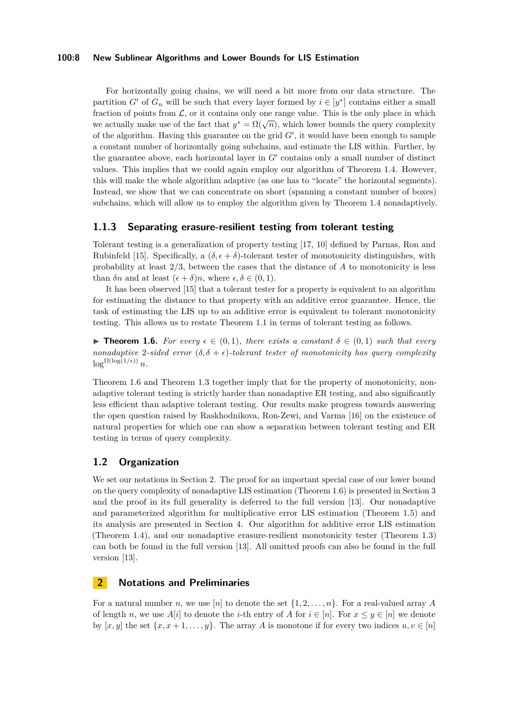#### **100:8 New Sublinear Algorithms and Lower Bounds for LIS Estimation**

For horizontally going chains, we will need a bit more from our data structure. The partition *G'* of  $G_n$  will be such that every layer formed by  $i \in [y^*]$  contains either a small fraction of points from  $\mathcal{L}$ , or it contains only one range value. This is the only place in which we actually make use of the fact that  $y^* = \Omega(\sqrt{n})$ , which lower bounds the query complexity of the algorithm. Having this guarantee on the grid *G*′ , it would have been enough to sample a constant number of horizontally going subchains, and estimate the LIS within. Further, by the guarantee above, each horizontal layer in *G*′ contains only a small number of distinct values. This implies that we could again employ our algorithm of Theorem [1.4.](#page-4-0) However, this will make the whole algorithm adaptive (as one has to "locate" the horizontal segments). Instead, we show that we can concentrate on short (spanning a constant number of boxes) subchains, which will allow us to employ the algorithm given by Theorem [1.4](#page-4-0) nonadaptively.

#### **1.1.3 Separating erasure-resilient testing from tolerant testing**

Tolerant testing is a generalization of property testing [\[17,](#page-19-16) [10\]](#page-19-17) defined by Parnas, Ron and Rubinfeld [\[15\]](#page-19-2). Specifically, a  $(\delta, \epsilon + \delta)$ -tolerant tester of monotonicity distinguishes, with probability at least 2*/*3, between the cases that the distance of *A* to monotonicity is less than  $\delta n$  and at least  $(\epsilon + \delta)n$ , where  $\epsilon, \delta \in (0, 1)$ .

It has been observed [\[15\]](#page-19-2) that a tolerant tester for a property is equivalent to an algorithm for estimating the distance to that property with an additive error guarantee. Hence, the task of estimating the LIS up to an additive error is equivalent to tolerant monotonicity testing. This allows us to restate Theorem [1.1](#page-3-1) in terms of tolerant testing as follows.

<span id="page-7-0"></span>**► Theorem 1.6.** For every  $\epsilon \in (0,1)$ , there exists a constant  $\delta \in (0,1)$  such that every *nonadaptive* 2-sided error  $(\delta, \delta + \epsilon)$ -tolerant tester of monotonicity has query complexity  $\log^{\Omega(\log(1/\epsilon))} n$ .

Theorem [1.6](#page-7-0) and Theorem [1.3](#page-4-1) together imply that for the property of monotonicity, nonadaptive tolerant testing is strictly harder than nonadaptive ER testing, and also significantly less efficient than adaptive tolerant testing. Our results make progress towards answering the open question raised by Raskhodnikova, Ron-Zewi, and Varma [\[16\]](#page-19-12) on the existence of natural properties for which one can show a separation between tolerant testing and ER testing in terms of query complexity.

#### **1.2 Organization**

We set our notations in Section [2.](#page-7-1) The proof for an important special case of our lower bound on the query complexity of nonadaptive LIS estimation (Theorem [1.6\)](#page-7-0) is presented in Section [3](#page-8-0) and the proof in its full generality is deferred to the full version [\[13\]](#page-19-18). Our nonadaptive and parameterized algorithm for multiplicative error LIS estimation (Theorem [1.5\)](#page-5-0) and its analysis are presented in Section [4.](#page-12-0) Our algorithm for additive error LIS estimation (Theorem [1.4\)](#page-4-0), and our nonadaptive erasure-resilient monotonicity tester (Theorem [1.3\)](#page-4-1) can both be found in the full version [\[13\]](#page-19-18). All omitted proofs can also be found in the full version [\[13\]](#page-19-18).

### <span id="page-7-1"></span>**2 Notations and Preliminaries**

For a natural number *n*, we use [*n*] to denote the set  $\{1, 2, \ldots, n\}$ . For a real-valued array *A* of length *n*, we use  $A[i]$  to denote the *i*-th entry of *A* for  $i \in [n]$ . For  $x \leq y \in [n]$  we denote by  $[x, y]$  the set  $\{x, x+1, \ldots, y\}$ . The array *A* is monotone if for every two indices  $u, v \in [n]$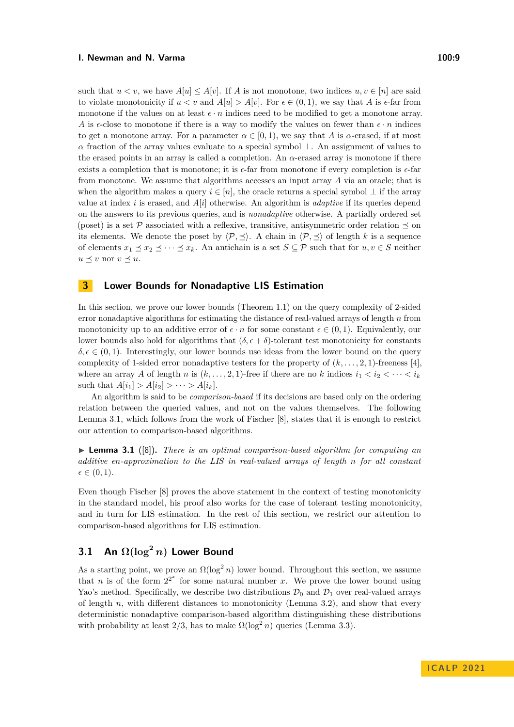such that  $u < v$ , we have  $A[u] \leq A[v]$ . If *A* is not monotone, two indices  $u, v \in [n]$  are said to violate monotonicity if  $u < v$  and  $A[u] > A[v]$ . For  $\epsilon \in (0,1)$ , we say that A is  $\epsilon$ -far from monotone if the values on at least  $\epsilon \cdot n$  indices need to be modified to get a monotone array. *A* is  $\epsilon$ -close to monotone if there is a way to modify the values on fewer than  $\epsilon \cdot n$  indices to get a monotone array. For a parameter  $\alpha \in [0, 1)$ , we say that *A* is *α*-erased, if at most *α* fraction of the array values evaluate to a special symbol  $\perp$ . An assignment of values to the erased points in an array is called a completion. An *α*-erased array is monotone if there exists a completion that is monotone; it is *ϵ*-far from monotone if every completion is *ϵ*-far from monotone. We assume that algorithms accesses an input array *A* via an oracle; that is when the algorithm makes a query  $i \in [n]$ , the oracle returns a special symbol  $\perp$  if the array value at index *i* is erased, and *A*[*i*] otherwise. An algorithm is *adaptive* if its queries depend on the answers to its previous queries, and is *nonadaptive* otherwise. A partially ordered set (poset) is a set P associated with a reflexive, transitive, antisymmetric order relation  $\preceq$  on its elements. We denote the poset by  $\langle \mathcal{P}, \preceq \rangle$ . A chain in  $\langle \mathcal{P}, \preceq \rangle$  of length *k* is a sequence of elements  $x_1 \leq x_2 \leq \cdots \leq x_k$ . An antichain is a set  $S \subseteq \mathcal{P}$  such that for  $u, v \in S$  neither  $u \preceq v$  nor  $v \preceq u$ .

### <span id="page-8-0"></span>**3 Lower Bounds for Nonadaptive LIS Estimation**

In this section, we prove our lower bounds (Theorem [1.1\)](#page-3-1) on the query complexity of 2-sided error nonadaptive algorithms for estimating the distance of real-valued arrays of length *n* from monotonicity up to an additive error of  $\epsilon \cdot n$  for some constant  $\epsilon \in (0, 1)$ . Equivalently, our lower bounds also hold for algorithms that  $(\delta, \epsilon + \delta)$ -tolerant test monotonicity for constants  $\delta, \epsilon \in (0, 1)$ . Interestingly, our lower bounds use ideas from the lower bound on the query complexity of 1-sided error nonadaptive testers for the property of  $(k, \ldots, 2, 1)$ -freeness [\[4\]](#page-19-8), where an array *A* of length *n* is  $(k, \ldots, 2, 1)$ -free if there are no *k* indices  $i_1 < i_2 < \cdots < i_k$ such that  $A[i_1] > A[i_2] > \cdots > A[i_k]$ .

An algorithm is said to be *comparison-based* if its decisions are based only on the ordering relation between the queried values, and not on the values themselves. The following Lemma [3.1,](#page-8-1) which follows from the work of Fischer [\[8\]](#page-19-7), states that it is enough to restrict our attention to comparison-based algorithms.

<span id="page-8-1"></span>▶ **Lemma 3.1** ([\[8\]](#page-19-7))**.** *There is an optimal comparison-based algorithm for computing an additive ϵn-approximation to the LIS in real-valued arrays of length n for all constant*  $\epsilon \in (0,1)$ .

Even though Fischer [\[8\]](#page-19-7) proves the above statement in the context of testing monotonicity in the standard model, his proof also works for the case of tolerant testing monotonicity, and in turn for LIS estimation. In the rest of this section, we restrict our attention to comparison-based algorithms for LIS estimation.

# <span id="page-8-2"></span>**3.1** An  $\Omega(\log^2 n)$  Lower Bound

As a starting point, we prove an  $\Omega(\log^2 n)$  lower bound. Throughout this section, we assume that *n* is of the form  $2^{2^x}$  for some natural number *x*. We prove the lower bound using Yao's method. Specifically, we describe two distributions  $\mathcal{D}_0$  and  $\mathcal{D}_1$  over real-valued arrays of length *n*, with different distances to monotonicity (Lemma [3.2\)](#page-10-0), and show that every deterministic nonadaptive comparison-based algorithm distinguishing these distributions with probability at least  $2/3$ , has to make  $\Omega(\log^2 n)$  queries (Lemma [3.3\)](#page-10-1).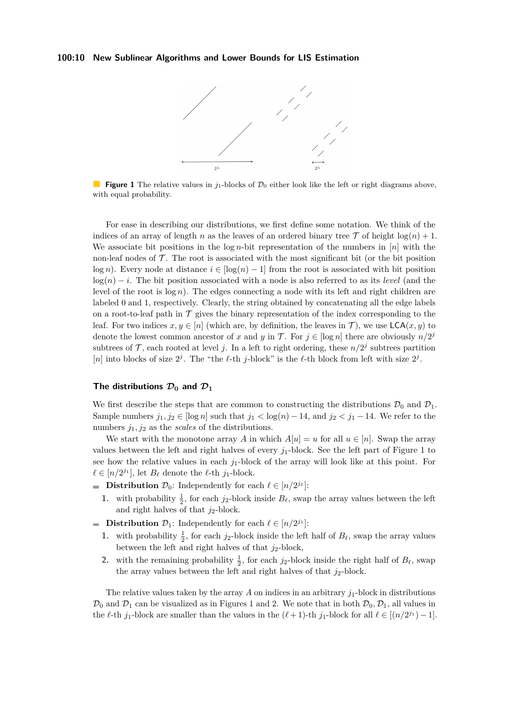#### <span id="page-9-0"></span>**100:10 New Sublinear Algorithms and Lower Bounds for LIS Estimation**



**Figure 1** The relative values in  $j_1$ -blocks of  $\mathcal{D}_0$  either look like the left or right diagrams above, with equal probability.

For ease in describing our distributions, we first define some notation. We think of the indices of an array of length *n* as the leaves of an ordered binary tree  $\mathcal T$  of height  $\log(n) + 1$ . We associate bit positions in the log *n*-bit representation of the numbers in [*n*] with the non-leaf nodes of  $\mathcal T$ . The root is associated with the most significant bit (or the bit position  $\log n$ ). Every node at distance  $i \in [\log(n) - 1]$  from the root is associated with bit position log(*n*) − *i*. The bit position associated with a node is also referred to as its *level* (and the level of the root is  $log n$ ). The edges connecting a node with its left and right children are labeled 0 and 1, respectively. Clearly, the string obtained by concatenating all the edge labels on a root-to-leaf path in  $\mathcal T$  gives the binary representation of the index corresponding to the leaf. For two indices  $x, y \in [n]$  (which are, by definition, the leaves in T), we use  $\mathsf{LCA}(x, y)$  to denote the lowest common ancestor of *x* and *y* in  $\mathcal{T}$ . For  $j \in [\log n]$  there are obviously  $n/2^j$ subtrees of  $\mathcal{T}$ , each rooted at level j. In a left to right ordering, these  $n/2<sup>j</sup>$  subtrees partition [n] into blocks of size  $2^j$ . The "the  $\ell$ -th *j*-block" is the  $\ell$ -th block from left with size  $2^j$ .

#### The distributions  $\mathcal{D}_0$  and  $\mathcal{D}_1$

We first describe the steps that are common to constructing the distributions  $\mathcal{D}_0$  and  $\mathcal{D}_1$ . Sample numbers  $j_1, j_2 \in [\log n]$  such that  $j_1 < \log(n) - 14$ , and  $j_2 < j_1 - 14$ . We refer to the numbers  $j_1, j_2$  as the *scales* of the distributions.

We start with the monotone array *A* in which  $A[u] = u$  for all  $u \in [n]$ . Swap the array values between the left and right halves of every  $j_1$ -block. See the left part of Figure [1](#page-9-0) to see how the relative values in each  $j_1$ -block of the array will look like at this point. For  $\ell \in [n/2^{j_1}]$ , let  $B_{\ell}$  denote the  $\ell$ -th  $j_1$ -block.

- **Distribution**  $\mathcal{D}_0$ : Independently for each  $\ell \in [n/2^{j_1}]$ :
	- **1.** with probability  $\frac{1}{2}$ , for each *j*<sub>2</sub>-block inside  $B_{\ell}$ , swap the array values between the left and right halves of that  $j_2$ -block.
- **Distribution**  $\mathcal{D}_1$ : Independently for each  $\ell \in [n/2^{j_1}]$ :
	- **1.** with probability  $\frac{1}{2}$ , for each *j*<sub>2</sub>-block inside the left half of *B*<sup>*l*</sup>, swap the array values between the left and right halves of that  $j_2$ -block,
	- 2. with the remaining probability  $\frac{1}{2}$ , for each *j*<sub>2</sub>-block inside the right half of *B*<sup> $l$ </sup>, swap the array values between the left and right halves of that  $j_2$ -block.

The relative values taken by the array  $A$  on indices in an arbitrary  $j_1$ -block in distributions  $\mathcal{D}_0$  and  $\mathcal{D}_1$  can be visualized as in Figures [1](#page-9-0) and [2.](#page-10-2) We note that in both  $\mathcal{D}_0$ ,  $\mathcal{D}_1$ , all values in the  $\ell$ -th *j*<sub>1</sub>-block are smaller than the values in the  $(\ell + 1)$ -th *j*<sub>1</sub>-block for all  $\ell \in [(n/2^{j_1}) - 1]$ .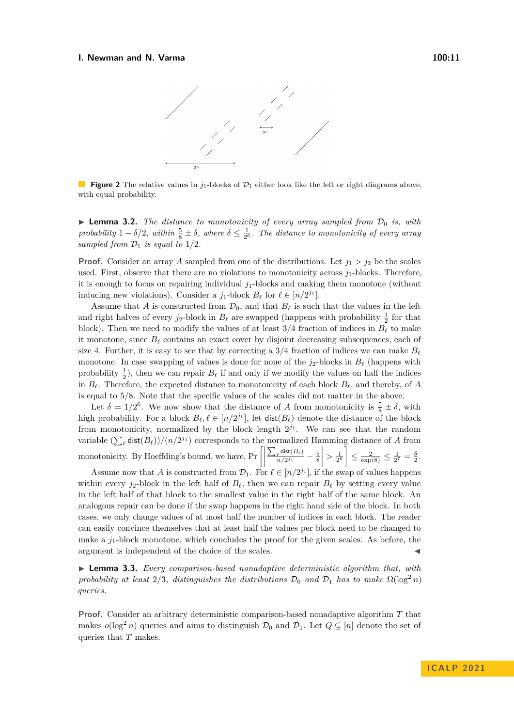<span id="page-10-2"></span>

**Figure 2** The relative values in  $j_1$ -blocks of  $\mathcal{D}_1$  either look like the left or right diagrams above, with equal probability.

<span id="page-10-0"></span>**• Lemma 3.2.** *The distance to monotonicity of every array sampled from*  $\mathcal{D}_0$  *is, with probability*  $1 - \delta/2$ , within  $\frac{5}{8} \pm \delta$ , where  $\delta \leq \frac{1}{2^6}$ . The distance to monotonicity of every array *sampled from*  $\mathcal{D}_1$  *is equal to*  $1/2$ *.* 

**Proof.** Consider an array *A* sampled from one of the distributions. Let  $j_1 > j_2$  be the scales used. First, observe that there are no violations to monotonicity across *j*1-blocks. Therefore, it is enough to focus on repairing individual *j*1-blocks and making them monotone (without inducing new violations). Consider a  $j_1$ -block  $B_\ell$  for  $\ell \in [n/2^{j_1}]$ .

Assume that *A* is constructed from  $\mathcal{D}_0$ , and that  $B_\ell$  is such that the values in the left and right halves of every  $j_2$ -block in  $B_\ell$  are swapped (happens with probability  $\frac{1}{2}$  for that block). Then we need to modify the values of at least  $3/4$  fraction of indices in  $B_\ell$  to make it monotone, since  $B_{\ell}$  contains an exact cover by disjoint decreasing subsequences, each of size 4. Further, it is easy to see that by correcting a  $3/4$  fraction of indices we can make  $B_\ell$ monotone. In case swapping of values is done for none of the *j*2-blocks in *B<sup>ℓ</sup>* (happens with probability  $\frac{1}{2}$ ), then we can repair  $B_{\ell}$  if and only if we modify the values on half the indices in  $B_\ell$ . Therefore, the expected distance to monotonicity of each block  $B_\ell$ , and thereby, of *A* is equal to 5*/*8. Note that the specific values of the scales did not matter in the above.

Let  $\delta = 1/2^6$ . We now show that the distance of *A* from monotonicity is  $\frac{5}{8} \pm \delta$ , with high probability. For a block  $B_{\ell}, \ell \in [n/2^{j_1}]$ , let  $dist(B_{\ell})$  denote the distance of the block from monotonicity, normalized by the block length  $2^{j_1}$ . We can see that the random variable  $(\sum_{\ell} \text{dist}(B_{\ell}))/(n/2^{j_1})$  corresponds to the normalized Hamming distance of *A* from monotonicity. By Hoeffding's bound, we have,  $Pr\left[\left|\right|\right]$  $\sum_{\ell}$  dist $(B_{\ell})$  $\frac{\ell^{\text{dist}(D_{\ell})}}{n/2^{j_1}} - \frac{5}{8}$  $\begin{array}{c} \hline \end{array}$  $> \frac{1}{2^6}$   $\leq \frac{2}{\exp(8)} \leq \frac{1}{2^7} = \frac{\delta}{2}.$ 

Assume now that *A* is constructed from  $\mathcal{D}_1$ . For  $\ell \in [n/2^{j_1}]$ , if the swap of values happens within every  $j_2$ -block in the left half of  $B_\ell$ , then we can repair  $B_\ell$  by setting every value in the left half of that block to the smallest value in the right half of the same block. An analogous repair can be done if the swap happens in the right hand side of the block. In both cases, we only change values of at most half the number of indices in each block. The reader can easily convince themselves that at least half the values per block need to be changed to make a *j*1-block monotone, which concludes the proof for the given scales. As before, the argument is independent of the choice of the scales.

<span id="page-10-1"></span>▶ **Lemma 3.3.** *Every comparison-based nonadaptive deterministic algorithm that, with probability at least*  $2/3$ *, distinguishes the distributions*  $\mathcal{D}_0$  *and*  $\mathcal{D}_1$  *has to make*  $\Omega(\log^2 n)$ *queries.*

**Proof.** Consider an arbitrary deterministic comparison-based nonadaptive algorithm *T* that makes  $o(\log^2 n)$  queries and aims to distinguish  $\mathcal{D}_0$  and  $\mathcal{D}_1$ . Let  $Q \subseteq [n]$  denote the set of queries that *T* makes.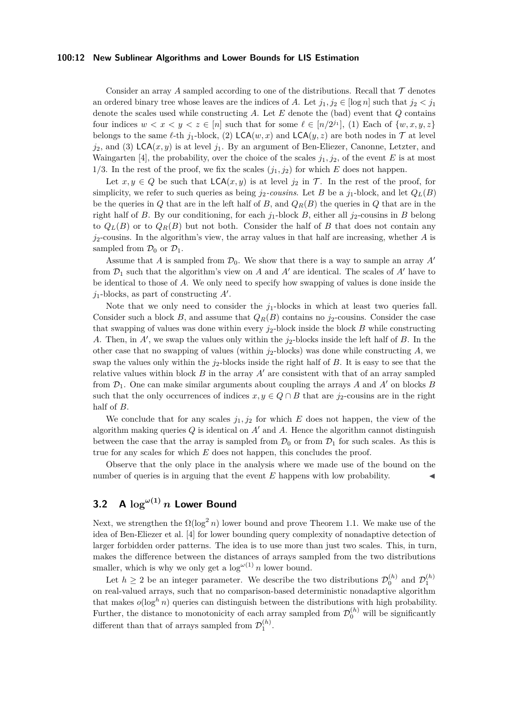#### **100:12 New Sublinear Algorithms and Lower Bounds for LIS Estimation**

Consider an array A sampled according to one of the distributions. Recall that  $\mathcal T$  denotes an ordered binary tree whose leaves are the indices of *A*. Let  $j_1, j_2 \in [\log n]$  such that  $j_2 < j_1$ denote the scales used while constructing *A*. Let *E* denote the (bad) event that *Q* contains four indices  $w < x < y < z \in [n]$  such that for some  $\ell \in [n/2^{j_1}]$ , (1) Each of  $\{w, x, y, z\}$ belongs to the same  $\ell$ -th  $j_1$ -block, (2) LCA( $w, x$ ) and LCA( $y, z$ ) are both nodes in  $\mathcal T$  at level  $j_2$ , and (3) LCA $(x, y)$  is at level  $j_1$ . By an argument of Ben-Eliezer, Canonne, Letzter, and Waingarten [\[4\]](#page-19-8), the probability, over the choice of the scales  $j_1, j_2$ , of the event *E* is at most 1/3. In the rest of the proof, we fix the scales  $(j_1, j_2)$  for which *E* does not happen.

Let  $x, y \in Q$  be such that  $\mathsf{LCA}(x, y)$  is at level  $j_2$  in  $\mathcal T$ . In the rest of the proof, for simplicity, we refer to such queries as being  $j_2$ -cousins. Let *B* be a  $j_1$ -block, and let  $Q_L(B)$ be the queries in *Q* that are in the left half of *B*, and  $Q_R(B)$  the queries in *Q* that are in the right half of *B*. By our conditioning, for each  $j_1$ -block *B*, either all  $j_2$ -cousins in *B* belong to  $Q_L(B)$  or to  $Q_R(B)$  but not both. Consider the half of *B* that does not contain any *j*2-cousins. In the algorithm's view, the array values in that half are increasing, whether *A* is sampled from  $\mathcal{D}_0$  or  $\mathcal{D}_1$ .

Assume that *A* is sampled from  $\mathcal{D}_0$ . We show that there is a way to sample an array *A'* from  $\mathcal{D}_1$  such that the algorithm's view on *A* and *A'* are identical. The scales of *A'* have to be identical to those of *A*. We only need to specify how swapping of values is done inside the *j*1-blocks, as part of constructing *A*′ .

Note that we only need to consider the  $j_1$ -blocks in which at least two queries fall. Consider such a block *B*, and assume that  $Q_R(B)$  contains no  $j_2$ -cousins. Consider the case that swapping of values was done within every  $j_2$ -block inside the block *B* while constructing *A*. Then, in *A*′ , we swap the values only within the *j*2-blocks inside the left half of *B*. In the other case that no swapping of values (within *j*2-blocks) was done while constructing *A*, we swap the values only within the *j*2-blocks inside the right half of *B*. It is easy to see that the relative values within block  $B$  in the array  $A'$  are consistent with that of an array sampled from  $\mathcal{D}_1$ . One can make similar arguments about coupling the arrays *A* and *A'* on blocks *B* such that the only occurrences of indices  $x, y \in Q \cap B$  that are  $j_2$ -cousins are in the right half of *B*.

We conclude that for any scales  $j_1, j_2$  for which  $E$  does not happen, the view of the algorithm making queries *Q* is identical on *A*′ and *A*. Hence the algorithm cannot distinguish between the case that the array is sampled from  $\mathcal{D}_0$  or from  $\mathcal{D}_1$  for such scales. As this is true for any scales for which *E* does not happen, this concludes the proof.

Observe that the only place in the analysis where we made use of the bound on the number of queries is in arguing that the event *E* happens with low probability.

# **3.2 A**  $\log^{(\omega(1))} n$  **Lower Bound**

Next, we strengthen the  $\Omega(\log^2 n)$  lower bound and prove Theorem [1.1.](#page-3-1) We make use of the idea of Ben-Eliezer et al. [\[4\]](#page-19-8) for lower bounding query complexity of nonadaptive detection of larger forbidden order patterns. The idea is to use more than just two scales. This, in turn, makes the difference between the distances of arrays sampled from the two distributions smaller, which is why we only get a  $\log^{(\omega(1)} n$  lower bound.

Let  $h \geq 2$  be an integer parameter. We describe the two distributions  $\mathcal{D}_0^{(h)}$  and  $\mathcal{D}_1^{(h)}$ on real-valued arrays, such that no comparison-based deterministic nonadaptive algorithm that makes  $o(\log^h n)$  queries can distinguish between the distributions with high probability. Further, the distance to monotonicity of each array sampled from  $\mathcal{D}_0^{(h)}$  will be significantly different than that of arrays sampled from  $\mathcal{D}_1^{(h)}$ .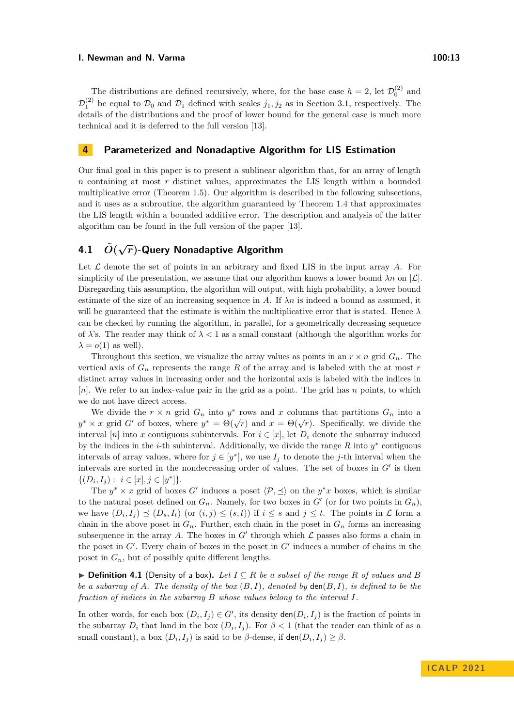The distributions are defined recursively, where, for the base case  $h = 2$ , let  $\mathcal{D}_0^{(2)}$  and  $\mathcal{D}_1^{(2)}$  be equal to  $\mathcal{D}_0$  and  $\mathcal{D}_1$  defined with scales  $j_1, j_2$  as in Section [3.1,](#page-8-2) respectively. The details of the distributions and the proof of lower bound for the general case is much more technical and it is deferred to the full version [\[13\]](#page-19-18).

#### <span id="page-12-0"></span>**4 Parameterized and Nonadaptive Algorithm for LIS Estimation**

Our final goal in this paper is to present a sublinear algorithm that, for an array of length *n* containing at most *r* distinct values, approximates the LIS length within a bounded multiplicative error (Theorem [1.5\)](#page-5-0). Our algorithm is described in the following subsections, and it uses as a subroutine, the algorithm guaranteed by Theorem [1.4](#page-4-0) that approximates the LIS length within a bounded additive error. The description and analysis of the latter algorithm can be found in the full version of the paper [\[13\]](#page-19-18).

# **4.1** *O***˜( <sup>√</sup>***r***)-Query Nonadaptive Algorithm**

Let  $\mathcal L$  denote the set of points in an arbitrary and fixed LIS in the input array  $A$ . For simplicity of the presentation, we assume that our algorithm knows a lower bound  $\lambda n$  on  $|\mathcal{L}|$ . Disregarding this assumption, the algorithm will output, with high probability, a lower bound estimate of the size of an increasing sequence in A. If  $\lambda n$  is indeed a bound as assumed, it will be guaranteed that the estimate is within the multiplicative error that is stated. Hence  $\lambda$ can be checked by running the algorithm, in parallel, for a geometrically decreasing sequence of  $\lambda$ 's. The reader may think of  $\lambda < 1$  as a small constant (although the algorithm works for  $\lambda = o(1)$  as well).

Throughout this section, we visualize the array values as points in an  $r \times n$  grid  $G_n$ . The vertical axis of  $G_n$  represents the range  $R$  of the array and is labeled with the at most  $r$ distinct array values in increasing order and the horizontal axis is labeled with the indices in [*n*]. We refer to an index-value pair in the grid as a point. The grid has *n* points, to which we do not have direct access.

We divide the  $r \times n$  grid  $G_n$  into  $y^*$  rows and  $x$  columns that partitions  $G_n$  into a  $y^* \times x$  grid *G*<sup>'</sup> of boxes, where  $y^* = \Theta(\sqrt{r})$  and  $x = \Theta(\sqrt{r})$ . Specifically, we divide the interval [*n*] into *x* contiguous subintervals. For  $i \in [x]$ , let  $D_i$  denote the subarray induced by the indices in the *i*-th subinterval. Additionally, we divide the range  $R$  into  $y^*$  contiguous intervals of array values, where for  $j \in [y^*]$ , we use  $I_j$  to denote the *j*-th interval when the intervals are sorted in the nondecreasing order of values. The set of boxes in *G*′ is then  $\{(D_i, I_j) : i \in [x], j \in [y^*]\}.$ 

The  $y^* \times x$  grid of boxes *G*' induces a poset  $\langle \mathcal{P}, \preceq \rangle$  on the  $y^*x$  boxes, which is similar to the natural poset defined on  $G_n$ . Namely, for two boxes in  $G'$  (or for two points in  $G_n$ ), we have  $(D_i, I_j) \preceq (D_s, I_t)$  (or  $(i, j) \leq (s, t)$ ) if  $i \leq s$  and  $j \leq t$ . The points in  $\mathcal L$  form a chain in the above poset in  $G_n$ . Further, each chain in the poset in  $G_n$  forms an increasing subsequence in the array A. The boxes in  $G'$  through which  $\mathcal L$  passes also forms a chain in the poset in  $G'$ . Every chain of boxes in the poset in  $G'$  induces a number of chains in the poset in  $G_n$ , but of possibly quite different lengths.

▶ **Definition 4.1** (Density of a box). Let  $I \subseteq R$  be a subset of the range R of values and B *be a subarray of*  $A$ *. The density of the box*  $(B, I)$ *, denoted by*  $\text{den}(B, I)$ *, is defined to be the fraction of indices in the subarray B whose values belong to the interval I.*

In other words, for each box  $(D_i, I_j) \in G'$ , its density  $\text{den}(D_i, I_j)$  is the fraction of points in the subarray  $D_i$  that land in the box  $(D_i, I_j)$ . For  $\beta < 1$  (that the reader can think of as a small constant), a box  $(D_i, I_j)$  is said to be  $\beta$ -dense, if  $\text{den}(D_i, I_j) \geq \beta$ .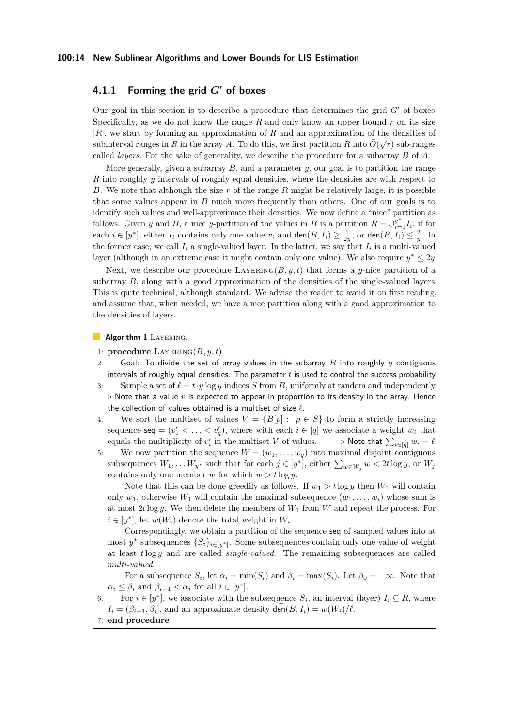## **4.1.1 Forming the grid** *G***′ of boxes**

Our goal in this section is to describe a procedure that determines the grid *G*′ of boxes. Specifically, as we do not know the range *R* and only know an upper bound *r* on its size |*R*|, we start by forming an approximation of *R* and an approximation of the densities of subinterval ranges in *R* in the array *A*. To do this, we first partition *R* into  $\tilde{O}(\sqrt{r})$  sub-ranges in *R* in the array *A*. To do this, we first partition *R* into  $\tilde{O}(\sqrt{r})$  sub-ranges called *layers*. For the sake of generality, we describe the procedure for a subarray *B* of *A*.

More generally, given a subarray *B*, and a parameter *y*, our goal is to partition the range *R* into roughly *y* intervals of roughly equal densities, where the densities are with respect to *B*. We note that although the size *r* of the range *R* might be relatively large, it is possible that some values appear in *B* much more frequently than others. One of our goals is to identify such values and well-approximate their densities. We now define a "nice" partition as follows. Given *y* and *B*, a nice *y*-partition of the values in *B* is a partition  $R = \bigcup_{i=1}^{y^*} I_i$ , if for each  $i \in [y^*]$ , either  $I_i$  contains only one value  $v_i$  and  $\textsf{den}(B, I_i) \geq \frac{1}{2y}$ , or  $\textsf{den}(B, I_i) \leq \frac{2}{y}$ . In the former case, we call  $I_i$  a single-valued layer. In the latter, we say that  $I_i$  is a multi-valued layer (although in an extreme case it might contain only one value). We also require  $y^* \leq 2y$ .

Next, we describe our procedure  $LAYERING(B, y, t)$  that forms a *y*-nice partition of a subarray *B*, along with a good approximation of the densities of the single-valued layers. This is quite technical, although standard. We advise the reader to avoid it on first reading, and assume that, when needed, we have a nice partition along with a good approximation to the densities of layers.

**Algorithm 1 LAYERING.** 

- 1: **procedure**  $\text{LAYERING}(B, y, t)$
- 2: Goal: To divide the set of array values in the subarray *B* into roughly *y* contiguous intervals of roughly equal densities. The parameter *t* is used to control the success probability.
- 3: Sample a set of  $\ell = t \cdot y \log y$  indices *S* from *B*, uniformly at random and independently. *▷* Note that a value *v* is expected to appear in proportion to its density in the array. Hence the collection of values obtained is a multiset of size *ℓ*.
- 4: We sort the multiset of values  $V = \{B[p] : p \in S\}$  to form a strictly increasing sequence  $\text{seq} = (v'_1 < \ldots < v'_q)$ , where with each  $i \in [q]$  we associate a weight  $w_i$  that equals the multiplicity of  $v'_i$  in the multiset V of values.  $\rightarrow \mathsf{Note that } \sum$  $\rhd$  Note that  $\sum_{i \in [q]} w_i = \ell$ .
- 5: We now partition the sequence  $W = (w_1, \ldots, w_q)$  into maximal disjoint contiguous subsequences  $W_1, \ldots W_{y^*}$  such that for each  $j \in [y^*]$ , either  $\sum_{w \in W_j} w < 2t \log y$ , or  $W_j$ contains only one member *w* for which  $w > t \log y$ .

Note that this can be done greedily as follows. If  $w_1 > t \log y$  then  $W_1$  will contain only  $w_1$ , otherwise  $W_1$  will contain the maximal subsequence  $(w_1, \ldots, w_i)$  whose sum is at most 2*t* log *y*. We then delete the members of  $W_1$  from *W* and repeat the process. For  $i \in [y^*]$ , let  $w(W_i)$  denote the total weight in  $W_i$ .

Correspondingly, we obtain a partition of the sequence seq of sampled values into at most  $y^*$  subsequences  $\{S_i\}_{i \in [y^*]}$ . Some subsequences contain only one value of weight at least *t*log *y* and are called *single-valued*. The remaining subsequences are called *multi-valued*.

For a subsequence  $S_i$ , let  $\alpha_i = \min(S_i)$  and  $\beta_i = \max(S_i)$ . Let  $\beta_0 = -\infty$ . Note that  $\alpha_i \leq \beta_i$  and  $\beta_{i-1} < \alpha_i$  for all  $i \in [y^*]$ .

6: For  $i \in [y^*]$ , we associate with the subsequence  $S_i$ , an interval (layer)  $I_i \subseteq R$ , where  $I_i = (\beta_{i-1}, \beta_i]$ , and an approximate density  $\text{den}(B, I_i) = w(W_i)/\ell$ .

7: **end procedure**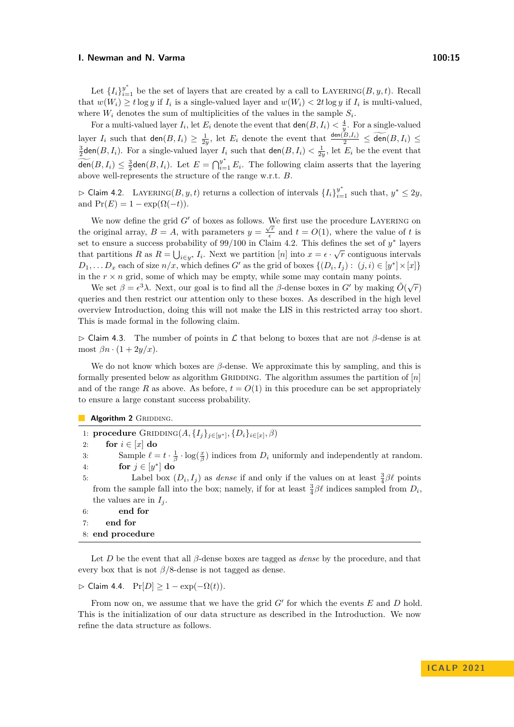Let  $\{I_i\}_{i=1}^{y^*}$  be the set of layers that are created by a call to LAYERING( $B, y, t$ ). Recall that  $w(W_i) \geq t \log y$  if  $I_i$  is a single-valued layer and  $w(W_i) < 2t \log y$  if  $I_i$  is multi-valued, where  $W_i$  denotes the sum of multiplicities of the values in the sample  $S_i$ .

For a multi-valued layer  $I_i$ , let  $E_i$  denote the event that  $\text{den}(B, I_i) < \frac{4}{y}$ . For a single-valued layer  $I_i$  such that  $\text{den}(B, I_i) \geq \frac{1}{2y}$ , let  $E_i$  denote the event that  $\frac{\text{den}(B, I_i)}{2} \leq \widetilde{\text{den}}(B, I_i) \leq \widetilde{\text{den}}(B, I_i)$  $\frac{3}{2}$ den(*B*, *I<sub>i</sub>*). For a single-valued layer *I<sub>i</sub>* such that den(*B*, *I<sub>i</sub>*)  $\lt \frac{1}{2y}$ , let *E<sub>i</sub>* be the event that  $\widetilde{\text{den}}(B, I_i) \leq \frac{3}{2} \text{den}(B, I_i)$ . Let  $E = \bigcap_{i=1}^{y^*} E_i$ . The following claim asserts that the layering above well-represents the structure of the range w.r.t. *B*.

<span id="page-14-0"></span>► Claim 4.2. LAYERING( $B, y, t$ ) returns a collection of intervals  $\{I_i\}_{i=1}^{y^*}$  such that,  $y^*$  ≤ 2y, and  $Pr(E) = 1 - exp(\Omega(-t)).$ 

We now define the grid  $G'$  of boxes as follows. We first use the procedure LAYERING on the original array,  $B = A$ , with parameters  $y = \frac{\sqrt{r}}{e}$  $\frac{f}{\epsilon}$  and  $t = O(1)$ , where the value of t is set to ensure a success probability of  $99/100$  in Claim [4.2.](#page-14-0) This defines the set of  $y^*$  layers that partitions *R* as  $R = \bigcup_{i \in y^*} I_i$ . Next we partition [*n*] into  $x = \epsilon \cdot \sqrt{r}$  contiguous intervals  $D_1, \ldots, D_x$  each of size  $n/x$ , which defines *G*' as the grid of boxes  $\{(D_i, I_j) : (j, i) \in [y^*] \times [x]\}$ in the  $r \times n$  grid, some of which may be empty, while some may contain many points.

We set  $β = ε<sup>3</sup>λ$ . Next, our goal is to find all the *β*-dense boxes in *G'* by making  $\tilde{O}(\sqrt{r})$ queries and then restrict our attention only to these boxes. As described in the high level overview Introduction, doing this will not make the LIS in this restricted array too short. This is made formal in the following claim.

▷ Claim 4.3. The number of points in L that belong to boxes that are not *β*-dense is at most  $\beta n \cdot (1 + 2y/x)$ .

We do not know which boxes are *β*-dense. We approximate this by sampling, and this is formally presented below as algorithm GRIDDING. The algorithm assumes the partition of  $[n]$ and of the range *R* as above. As before,  $t = O(1)$  in this procedure can be set appropriately to ensure a large constant success probability.

**Algorithm 2 GRIDDING.** 

1: **procedure** GRIDDING $(A, \{I_j\}_{j \in [y^*]}, \{D_i\}_{i \in [x]}, \beta)$ 2: **for**  $i \in [x]$  **do** 3: Sample  $\ell = t \cdot \frac{1}{\beta} \cdot \log(\frac{x}{\beta})$  indices from  $D_i$  uniformly and independently at random. 4: **for**  $j \in [y^*]$  **do** 5: Label box  $(D_i, I_j)$  as *dense* if and only if the values on at least  $\frac{3}{4}\beta\ell$  points from the sample fall into the box; namely, if for at least  $\frac{3}{4}\beta\ell$  indices sampled from  $D_i$ , the values are in  $I_i$ . 6: **end for** 7: **end for** 8: **end procedure**

Let *D* be the event that all *β*-dense boxes are tagged as *dense* by the procedure, and that every box that is not  $\beta/8$ -dense is not tagged as dense.

 $\triangleright$  Claim 4.4.  $Pr[D] > 1 - exp(-\Omega(t)).$ 

From now on, we assume that we have the grid  $G'$  for which the events  $E$  and  $D$  hold. This is the initialization of our data structure as described in the Introduction. We now refine the data structure as follows.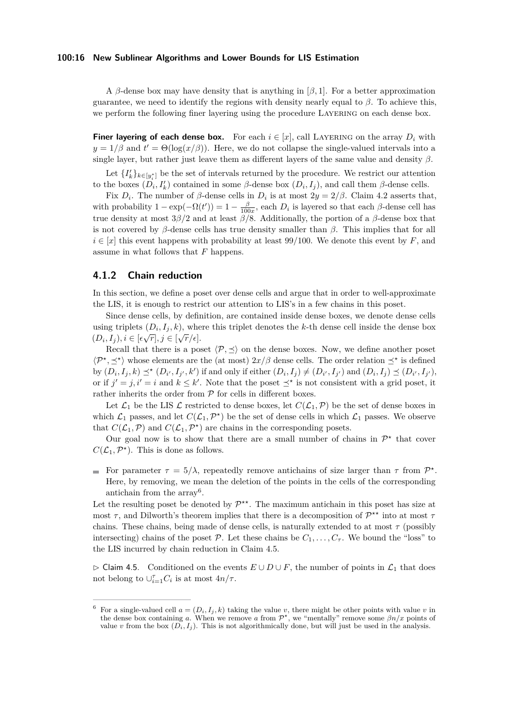#### **100:16 New Sublinear Algorithms and Lower Bounds for LIS Estimation**

A *β*-dense box may have density that is anything in [*β,* 1]. For a better approximation guarantee, we need to identify the regions with density nearly equal to  $\beta$ . To achieve this, we perform the following finer layering using the procedure Layering on each dense box.

**Finer layering of each dense box.** For each  $i \in [x]$ , call LAYERING on the array  $D_i$  with  $y = 1/\beta$  and  $t' = \Theta(\log(x/\beta))$ . Here, we do not collapse the single-valued intervals into a single layer, but rather just leave them as different layers of the same value and density *β*.

Let  $\{I'_k\}_{k\in[y^*_i]}$  be the set of intervals returned by the procedure. We restrict our attention to the boxes  $(D_i, I'_k)$  contained in some  $\beta$ -dense box  $(D_i, I_j)$ , and call them  $\beta$ -dense cells.

Fix  $D_i$ . The number of  $\beta$ -dense cells in  $D_i$  is at most  $2y = 2/\beta$ . Claim [4.2](#page-14-0) asserts that, with probability  $1 - \exp(-\Omega(t')) = 1 - \frac{\beta}{100x}$ , each  $D_i$  is layered so that each  $\beta$ -dense cell has true density at most 3*β/*2 and at least *β/*8. Additionally, the portion of a *β*-dense box that is not covered by  $\beta$ -dense cells has true density smaller than  $\beta$ . This implies that for all  $i \in [x]$  this event happens with probability at least 99/100. We denote this event by *F*, and assume in what follows that *F* happens.

#### **4.1.2 Chain reduction**

In this section, we define a poset over dense cells and argue that in order to well-approximate the LIS, it is enough to restrict our attention to LIS's in a few chains in this poset.

Since dense cells, by definition, are contained inside dense boxes, we denote dense cells using triplets  $(D_i, I_j, k)$ , where this triplet denotes the *k*-th dense cell inside the dense box  $(D_i, I_j), i \in [\epsilon \sqrt{r}], j \in [\sqrt{r}/\epsilon].$ 

Recall that there is a poset  $\langle \mathcal{P}, \preceq \rangle$  on the dense boxes. Now, we define another poset  $\langle P^*,\preceq^* \rangle$  whose elements are the (at most)  $2x/\beta$  dense cells. The order relation  $\preceq^*$  is defined by  $(D_i, I_j, k) \preceq^* (D_{i'}, I_{j'}, k')$  if and only if either  $(D_i, I_j) \neq (D_{i'}, I_{j'})$  and  $(D_i, I_j) \preceq (D_{i'}, I_{j'})$ , or if  $j' = j$ ,  $i' = i$  and  $k \leq k'$ . Note that the poset  $\preceq^*$  is not consistent with a grid poset, it rather inherits the order from  $P$  for cells in different boxes.

Let  $\mathcal{L}_1$  be the LIS  $\mathcal L$  restricted to dense boxes, let  $C(\mathcal{L}_1, \mathcal{P})$  be the set of dense boxes in which  $\mathcal{L}_1$  passes, and let  $C(\mathcal{L}_1, \mathcal{P}^*)$  be the set of dense cells in which  $\mathcal{L}_1$  passes. We observe that  $C(\mathcal{L}_1, \mathcal{P})$  and  $C(\mathcal{L}_1, \mathcal{P}^*)$  are chains in the corresponding posets.

Our goal now is to show that there are a small number of chains in  $\mathcal{P}^*$  that cover  $C(\mathcal{L}_1, \mathcal{P}^*)$ . This is done as follows.

For parameter  $\tau = 5/\lambda$ , repeatedly remove antichains of size larger than  $\tau$  from  $\mathcal{P}^*$ . Here, by removing, we mean the deletion of the points in the cells of the corresponding antichain from the array<sup>[6](#page-15-0)</sup>.

Let the resulting poset be denoted by  $\mathcal{P}^{**}$ . The maximum antichain in this poset has size at most *τ*, and Dilworth's theorem implies that there is a decomposition of  $\mathcal{P}^{\star\star}$  into at most *τ* chains. These chains, being made of dense cells, is naturally extended to at most  $\tau$  (possibly intersecting) chains of the poset  $\mathcal{P}$ . Let these chains be  $C_1, \ldots, C_{\tau}$ . We bound the "loss" to the LIS incurred by chain reduction in Claim [4.5.](#page-15-1)

<span id="page-15-1"></span>▷ Claim 4.5. Conditioned on the events *E* ∪ *D* ∪ *F*, the number of points in L<sup>1</sup> that does not belong to  $\cup_{i=1}^{\tau} C_i$  is at most  $4n/\tau$ .

<span id="page-15-0"></span>For a single-valued cell  $a = (D_i, I_j, k)$  taking the value *v*, there might be other points with value *v* in the dense box containing *a*. When we remove *a* from  $\mathcal{P}^{\star}$ , we "mentally" remove some  $\beta n/x$  points of value *v* from the box  $(D_i, I_j)$ . This is not algorithmically done, but will just be used in the analysis.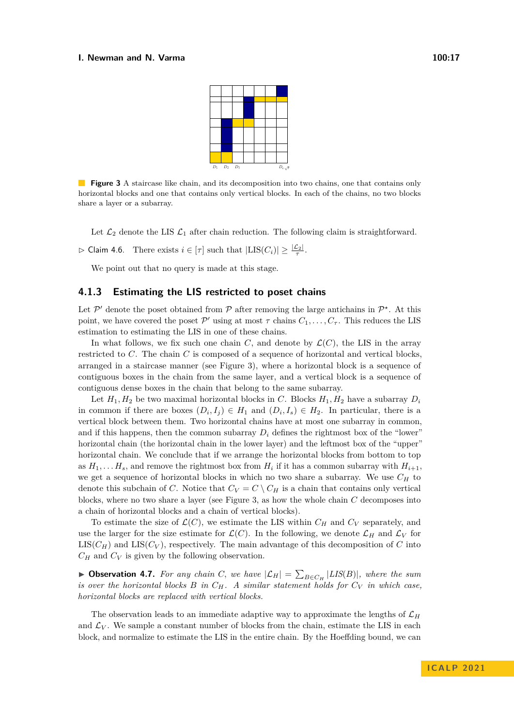

<span id="page-16-0"></span>**Figure 3** A staircase like chain, and its decomposition into two chains, one that contains only horizontal blocks and one that contains only vertical blocks. In each of the chains, no two blocks share a layer or a subarray.

Let  $\mathcal{L}_2$  denote the LIS  $\mathcal{L}_1$  after chain reduction. The following claim is straightforward.

 $\triangleright$  Claim 4.6. There exists  $i \in [\tau]$  such that  $|\text{LIS}(C_i)| \geq \frac{|\mathcal{L}_2|}{\tau}$ .

We point out that no query is made at this stage.

#### **4.1.3 Estimating the LIS restricted to poset chains**

Let  $\mathcal{P}'$  denote the poset obtained from  $\mathcal P$  after removing the large antichains in  $\mathcal{P}^*$ . At this point, we have covered the poset  $\mathcal{P}'$  using at most  $\tau$  chains  $C_1, \ldots, C_{\tau}$ . This reduces the LIS estimation to estimating the LIS in one of these chains.

In what follows, we fix such one chain *C*, and denote by  $\mathcal{L}(C)$ , the LIS in the array restricted to *C*. The chain *C* is composed of a sequence of horizontal and vertical blocks, arranged in a staircase manner (see Figure [3\)](#page-16-0), where a horizontal block is a sequence of contiguous boxes in the chain from the same layer, and a vertical block is a sequence of contiguous dense boxes in the chain that belong to the same subarray.

Let  $H_1, H_2$  be two maximal horizontal blocks in *C*. Blocks  $H_1, H_2$  have a subarray  $D_i$ in common if there are boxes  $(D_i, I_j) \in H_1$  and  $(D_i, I_s) \in H_2$ . In particular, there is a vertical block between them. Two horizontal chains have at most one subarray in common, and if this happens, then the common subarray  $D_i$  defines the rightmost box of the "lower" horizontal chain (the horizontal chain in the lower layer) and the leftmost box of the "upper" horizontal chain. We conclude that if we arrange the horizontal blocks from bottom to top as  $H_1, \ldots, H_s$ , and remove the rightmost box from  $H_i$  if it has a common subarray with  $H_{i+1}$ , we get a sequence of horizontal blocks in which no two share a subarray. We use  $C_H$  to denote this subchain of *C*. Notice that  $C_V = C \setminus C_H$  is a chain that contains only vertical blocks, where no two share a layer (see Figure [3,](#page-16-0) as how the whole chain *C* decomposes into a chain of horizontal blocks and a chain of vertical blocks).

To estimate the size of  $\mathcal{L}(C)$ , we estimate the LIS within  $C_H$  and  $C_V$  separately, and use the larger for the size estimate for  $\mathcal{L}(C)$ . In the following, we denote  $\mathcal{L}_H$  and  $\mathcal{L}_V$  for  $LIS(C_H)$  and  $LIS(C_V)$ , respectively. The main advantage of this decomposition of *C* into  $C_H$  and  $C_V$  is given by the following observation.

▶ **Observation 4.7.** *For any chain C*, *we have*  $|\mathcal{L}_H| = \sum_{B \in C_H} |LIS(B)|$ *, where the sum is over the horizontal blocks*  $B$  *in*  $C_H$ *. A similar statement holds for*  $C_V$  *in which case, horizontal blocks are replaced with vertical blocks.*

The observation leads to an immediate adaptive way to approximate the lengths of  $\mathcal{L}_H$ and  $\mathcal{L}_V$ . We sample a constant number of blocks from the chain, estimate the LIS in each block, and normalize to estimate the LIS in the entire chain. By the Hoeffding bound, we can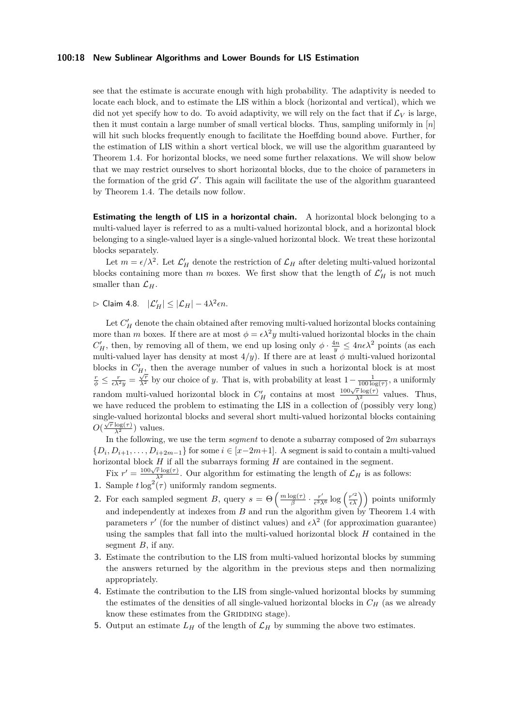#### **100:18 New Sublinear Algorithms and Lower Bounds for LIS Estimation**

see that the estimate is accurate enough with high probability. The adaptivity is needed to locate each block, and to estimate the LIS within a block (horizontal and vertical), which we did not yet specify how to do. To avoid adaptivity, we will rely on the fact that if  $\mathcal{L}_V$  is large, then it must contain a large number of small vertical blocks. Thus, sampling uniformly in [*n*] will hit such blocks frequently enough to facilitate the Hoeffding bound above. Further, for the estimation of LIS within a short vertical block, we will use the algorithm guaranteed by Theorem [1.4.](#page-4-0) For horizontal blocks, we need some further relaxations. We will show below that we may restrict ourselves to short horizontal blocks, due to the choice of parameters in the formation of the grid  $G'$ . This again will facilitate the use of the algorithm guaranteed by Theorem [1.4.](#page-4-0) The details now follow.

**Estimating the length of LIS in a horizontal chain.** A horizontal block belonging to a multi-valued layer is referred to as a multi-valued horizontal block, and a horizontal block belonging to a single-valued layer is a single-valued horizontal block. We treat these horizontal blocks separately.

Let  $m = \epsilon/\lambda^2$ . Let  $\mathcal{L}'_H$  denote the restriction of  $\mathcal{L}_H$  after deleting multi-valued horizontal blocks containing more than *m* boxes. We first show that the length of  $\mathcal{L}'_H$  is not much smaller than  $\mathcal{L}_H$ .

 $\triangleright$  Claim 4.8.  $|\mathcal{L}'_H| \leq |\mathcal{L}_H| - 4\lambda^2 \epsilon n$ .

Let  $C'_H$  denote the chain obtained after removing multi-valued horizontal blocks containing more than *m* boxes. If there are at most  $\phi = \epsilon \lambda^2 y$  multi-valued horizontal blocks in the chain  $C'_H$ , then, by removing all of them, we end up losing only  $\phi \cdot \frac{4n}{y} \leq 4n\epsilon\lambda^2$  points (as each multi-valued layer has density at most  $4/y$ . If there are at least  $\phi$  multi-valued horizontal blocks in  $C'_{H}$ , then the average number of values in such a horizontal block is at most  $\frac{r}{\phi} \leq \frac{r}{\epsilon \lambda^2 y} = \frac{\sqrt{r}}{\lambda^2}$  by our choice of *y*. That is, with probability at least  $1 - \frac{1}{100 \log(\tau)}$ , a uniformly random multi-valued horizontal block in  $C'_H$  contains at most  $\frac{100\sqrt{r} \log(\tau)}{\lambda^2}$  values. Thus, we have reduced the problem to estimating the LIS in a collection of (possibly very long) single-valued horizontal blocks and several short multi-valued horizontal blocks containing √  $O(\frac{\sqrt{r} \log(\tau)}{\lambda^2})$  values.

In the following, we use the term *segment* to denote a subarray composed of 2*m* subarrays  $\{D_i, D_{i+1}, \ldots, D_{i+2m-1}\}\$ for some  $i \in [x-2m+1]$ . A segment is said to contain a multi-valued horizontal block *H* if all the subarrays forming *H* are contained in the segment.

Example 100  $\sqrt{r} \log(\tau)$ . Our algorithm for estimating the length of  $\mathcal{L}_H$  is as follows:

- **1.** Sample  $t \log^2(\tau)$  uniformly random segments.
- **2.** For each sampled segment *B*, query  $s = \Theta\left(\frac{m \log(\tau)}{s}\right)$  $\frac{\log(\tau)}{\beta} \cdot \frac{r'}{\epsilon^3}$  $\frac{r'}{\epsilon^3 \lambda^6} \log \left( \frac{r'^2}{\epsilon \lambda} \right)$  points uniformly and independently at indexes from *B* and run the algorithm given by Theorem [1.4](#page-4-0) with parameters r' (for the number of distinct values) and  $\epsilon \lambda^2$  (for approximation guarantee) using the samples that fall into the multi-valued horizontal block *H* contained in the segment *B*, if any.
- **3.** Estimate the contribution to the LIS from multi-valued horizontal blocks by summing the answers returned by the algorithm in the previous steps and then normalizing appropriately.
- **4.** Estimate the contribution to the LIS from single-valued horizontal blocks by summing the estimates of the densities of all single-valued horizontal blocks in  $C_H$  (as we already know these estimates from the GRIDDING stage).
- **5.** Output an estimate  $L_H$  of the length of  $\mathcal{L}_H$  by summing the above two estimates.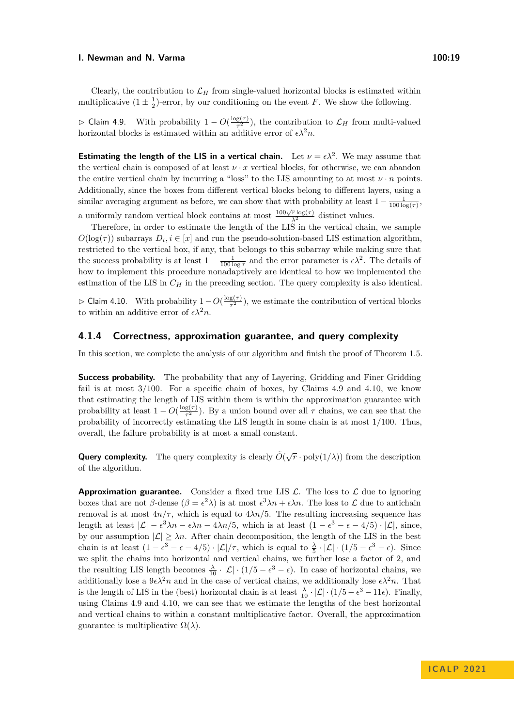Clearly, the contribution to  $\mathcal{L}_H$  from single-valued horizontal blocks is estimated within multiplicative  $(1 \pm \frac{1}{2})$ -error, by our conditioning on the event *F*. We show the following.

<span id="page-18-0"></span> $\triangleright$  Claim 4.9. With probability 1 − *O*( $\frac{\log(τ)}{τ^2}$  $\frac{g(\tau)}{\tau^2}$ , the contribution to  $\mathcal{L}_H$  from multi-valued horizontal blocks is estimated within an additive error of  $\epsilon \lambda^2 n$ .

**Estimating the length of the LIS in a vertical chain.** Let  $\nu = \epsilon \lambda^2$ . We may assume that the vertical chain is composed of at least  $\nu \cdot x$  vertical blocks, for otherwise, we can abandon the entire vertical chain by incurring a "loss" to the LIS amounting to at most  $\nu \cdot n$  points. Additionally, since the boxes from different vertical blocks belong to different layers, using a similar averaging argument as before, we can show that with probability at least  $1 - \frac{1}{100 \log(\tau)}$ , a uniformly random vertical block contains at most  $\frac{100\sqrt{r} \log(r)}{\lambda^2}$  distinct values.

Therefore, in order to estimate the length of the LIS in the vertical chain, we sample  $O(\log(\tau))$  subarrays  $D_i, i \in [x]$  and run the pseudo-solution-based LIS estimation algorithm, restricted to the vertical box, if any, that belongs to this subarray while making sure that the success probability is at least  $1 - \frac{1}{100 \log \tau}$  and the error parameter is  $\epsilon \lambda^2$ . The details of how to implement this procedure nonadaptively are identical to how we implemented the estimation of the LIS in  $C_H$  in the preceding section. The query complexity is also identical.

<span id="page-18-1"></span>**⊳ Claim 4.10.** With probability  $1 - O(\frac{\log_2(\tau)}{\tau^2})$  $\frac{g(\tau)}{\tau^2}$ , we estimate the contribution of vertical blocks to within an additive error of  $\epsilon \lambda^2 n$ .

#### **4.1.4 Correctness, approximation guarantee, and query complexity**

In this section, we complete the analysis of our algorithm and finish the proof of Theorem [1.5.](#page-5-0)

**Success probability.** The probability that any of Layering, Gridding and Finer Gridding fail is at most  $3/100$ . For a specific chain of boxes, by Claims [4.9](#page-18-0) and [4.10,](#page-18-1) we know that estimating the length of LIS within them is within the approximation guarantee with probability at least  $1 - O(\frac{\log(\tau)}{\tau^2})$  $\frac{g(\tau)}{\tau^2}$ ). By a union bound over all  $\tau$  chains, we can see that the probability of incorrectly estimating the LIS length in some chain is at most 1*/*100. Thus, overall, the failure probability is at most a small constant.

**Query complexity.** The query complexity is clearly  $\tilde{O}(\sqrt{r} \cdot \text{poly}(1/\lambda))$  from the description of the algorithm.

**Approximation guarantee.** Consider a fixed true LIS  $\mathcal{L}$ . The loss to  $\mathcal{L}$  due to ignoring boxes that are not  $\beta$ -dense  $(\beta = \epsilon^2 \lambda)$  is at most  $\epsilon^3 \lambda n + \epsilon \lambda n$ . The loss to  $\mathcal L$  due to antichain removal is at most  $4n/\tau$ , which is equal to  $4\lambda n/5$ . The resulting increasing sequence has length at least  $|\mathcal{L}| - \epsilon^3 \lambda n - \epsilon \lambda n - 4\lambda n/5$ , which is at least  $(1 - \epsilon^3 - \epsilon - 4/5) \cdot |\mathcal{L}|$ , since, by our assumption  $|\mathcal{L}| \geq \lambda n$ . After chain decomposition, the length of the LIS in the best chain is at least  $(1 - \epsilon^3 - \epsilon - 4/5) \cdot |\mathcal{L}| / \tau$ , which is equal to  $\frac{\lambda}{5} \cdot |\mathcal{L}| \cdot (1/5 - \epsilon^3 - \epsilon)$ . Since we split the chains into horizontal and vertical chains, we further lose a factor of 2, and the resulting LIS length becomes  $\frac{\lambda}{10} \cdot |\mathcal{L}| \cdot (1/5 - \epsilon^3 - \epsilon)$ . In case of horizontal chains, we additionally lose a  $9\epsilon\lambda^2n$  and in the case of vertical chains, we additionally lose  $\epsilon\lambda^2n$ . That is the length of LIS in the (best) horizontal chain is at least  $\frac{\lambda}{10} \cdot |\mathcal{L}| \cdot (1/5 - \epsilon^3 - 11\epsilon)$ . Finally, using Claims [4.9](#page-18-0) and [4.10,](#page-18-1) we can see that we estimate the lengths of the best horizontal and vertical chains to within a constant multiplicative factor. Overall, the approximation guarantee is multiplicative  $\Omega(\lambda)$ .